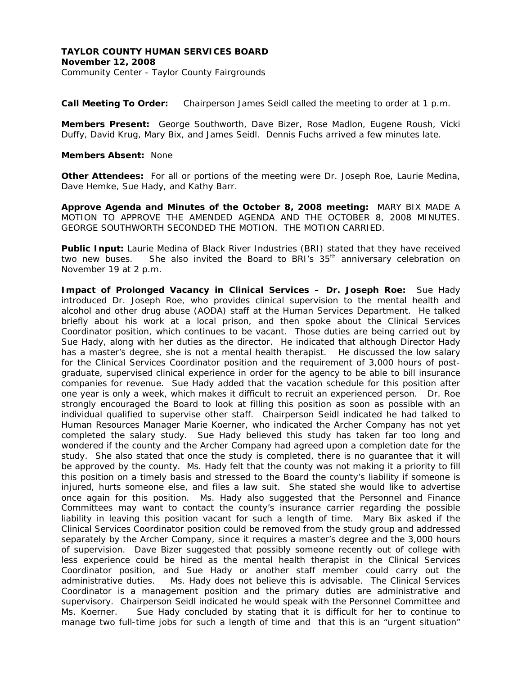**Call Meeting To Order:** Chairperson James Seidl called the meeting to order at 1 p.m.

**Members Present:** George Southworth, Dave Bizer, Rose Madlon, Eugene Roush, Vicki Duffy, David Krug, Mary Bix, and James Seidl. Dennis Fuchs arrived a few minutes late.

## **Members Absent:** None

**Other Attendees:** For all or portions of the meeting were Dr. Joseph Roe, Laurie Medina, Dave Hemke, Sue Hady, and Kathy Barr.

**Approve Agenda and Minutes of the October 8, 2008 meeting:** MARY BIX MADE A MOTION TO APPROVE THE AMENDED AGENDA AND THE OCTOBER 8, 2008 MINUTES. GEORGE SOUTHWORTH SECONDED THE MOTION. THE MOTION CARRIED.

**Public Input:** Laurie Medina of Black River Industries (BRI) stated that they have received two new buses. She also invited the Board to BRI's  $35<sup>th</sup>$  anniversary celebration on November 19 at 2 p.m.

**Impact of Prolonged Vacancy in Clinical Services – Dr. Joseph Roe:** Sue Hady introduced Dr. Joseph Roe, who provides clinical supervision to the mental health and alcohol and other drug abuse (AODA) staff at the Human Services Department. He talked briefly about his work at a local prison, and then spoke about the Clinical Services Coordinator position, which continues to be vacant. Those duties are being carried out by Sue Hady, along with her duties as the director. He indicated that although Director Hady has a master's degree, she is not a mental health therapist. He discussed the low salary for the Clinical Services Coordinator position and the requirement of 3,000 hours of postgraduate, supervised clinical experience in order for the agency to be able to bill insurance companies for revenue. Sue Hady added that the vacation schedule for this position after one year is only a week, which makes it difficult to recruit an experienced person. Dr. Roe strongly encouraged the Board to look at filling this position as soon as possible with an individual qualified to supervise other staff. Chairperson Seidl indicated he had talked to Human Resources Manager Marie Koerner, who indicated the Archer Company has not yet completed the salary study. Sue Hady believed this study has taken far too long and wondered if the county and the Archer Company had agreed upon a completion date for the study. She also stated that once the study is completed, there is no guarantee that it will be approved by the county. Ms. Hady felt that the county was not making it a priority to fill this position on a timely basis and stressed to the Board the county's liability if someone is injured, hurts someone else, and files a law suit. She stated she would like to advertise once again for this position. Ms. Hady also suggested that the Personnel and Finance Committees may want to contact the county's insurance carrier regarding the possible liability in leaving this position vacant for such a length of time. Mary Bix asked if the Clinical Services Coordinator position could be removed from the study group and addressed separately by the Archer Company, since it requires a master's degree and the 3,000 hours of supervision. Dave Bizer suggested that possibly someone recently out of college with less experience could be hired as the mental health therapist in the Clinical Services Coordinator position, and Sue Hady or another staff member could carry out the administrative duties. Ms. Hady does not believe this is advisable. The Clinical Services Coordinator is a management position and the primary duties are administrative and supervisory. Chairperson Seidl indicated he would speak with the Personnel Committee and Ms. Koerner. Sue Hady concluded by stating that it is difficult for her to continue to manage two full-time jobs for such a length of time and that this is an "urgent situation"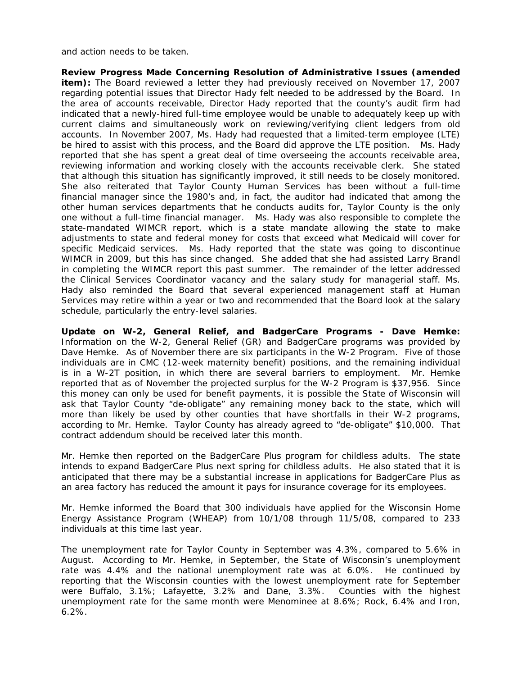and action needs to be taken.

**Review Progress Made Concerning Resolution of Administrative Issues (amended item):** The Board reviewed a letter they had previously received on November 17, 2007 regarding potential issues that Director Hady felt needed to be addressed by the Board. In the area of accounts receivable, Director Hady reported that the county's audit firm had indicated that a newly-hired full-time employee would be unable to adequately keep up with current claims and simultaneously work on reviewing/verifying client ledgers from old accounts. In November 2007, Ms. Hady had requested that a limited-term employee (LTE) be hired to assist with this process, and the Board did approve the LTE position. Ms. Hady reported that she has spent a great deal of time overseeing the accounts receivable area, reviewing information and working closely with the accounts receivable clerk. She stated that although this situation has significantly improved, it still needs to be closely monitored. She also reiterated that Taylor County Human Services has been without a full-time financial manager since the 1980's and, in fact, the auditor had indicated that among the other human services departments that he conducts audits for, Taylor County is the only one without a full-time financial manager. Ms. Hady was also responsible to complete the state-mandated WIMCR report, which is a state mandate allowing the state to make adjustments to state and federal money for costs that exceed what Medicaid will cover for specific Medicaid services. Ms. Hady reported that the state was going to discontinue WIMCR in 2009, but this has since changed. She added that she had assisted Larry Brandl in completing the WIMCR report this past summer. The remainder of the letter addressed the Clinical Services Coordinator vacancy and the salary study for managerial staff. Ms. Hady also reminded the Board that several experienced management staff at Human Services may retire within a year or two and recommended that the Board look at the salary schedule, particularly the entry-level salaries.

**Update on W-2, General Relief, and BadgerCare Programs - Dave Hemke:** Information on the W-2, General Relief (GR) and BadgerCare programs was provided by Dave Hemke. As of November there are six participants in the W-2 Program. Five of those individuals are in CMC (12-week maternity benefit) positions, and the remaining individual is in a W-2T position, in which there are several barriers to employment. Mr. Hemke reported that as of November the projected surplus for the W-2 Program is \$37,956. Since this money can only be used for benefit payments, it is possible the State of Wisconsin will ask that Taylor County "de-obligate" any remaining money back to the state, which will more than likely be used by other counties that have shortfalls in their W-2 programs, according to Mr. Hemke. Taylor County has already agreed to "de-obligate" \$10,000. That contract addendum should be received later this month.

Mr. Hemke then reported on the BadgerCare Plus program for childless adults. The state intends to expand BadgerCare Plus next spring for childless adults. He also stated that it is anticipated that there may be a substantial increase in applications for BadgerCare Plus as an area factory has reduced the amount it pays for insurance coverage for its employees.

Mr. Hemke informed the Board that 300 individuals have applied for the Wisconsin Home Energy Assistance Program (WHEAP) from 10/1/08 through 11/5/08, compared to 233 individuals at this time last year.

The unemployment rate for Taylor County in September was 4.3%, compared to 5.6% in August. According to Mr. Hemke, in September, the State of Wisconsin's unemployment rate was 4.4% and the national unemployment rate was at 6.0%. He continued by reporting that the Wisconsin counties with the lowest unemployment rate for September were Buffalo, 3.1%; Lafayette, 3.2% and Dane, 3.3%. Counties with the highest unemployment rate for the same month were Menominee at 8.6%; Rock, 6.4% and Iron, 6.2%.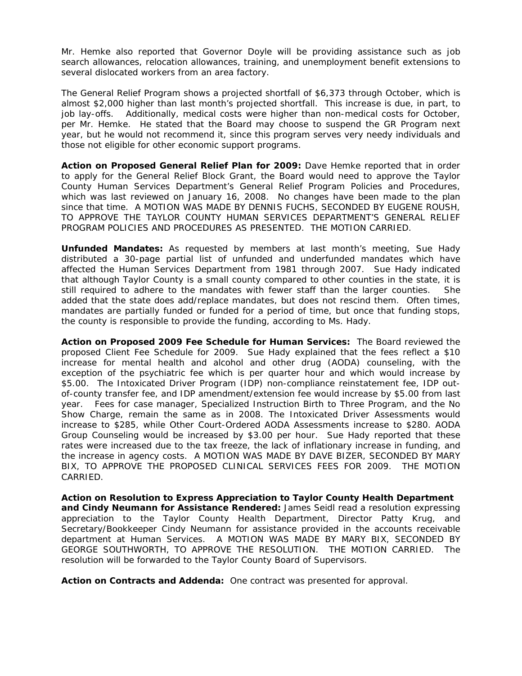Mr. Hemke also reported that Governor Doyle will be providing assistance such as job search allowances, relocation allowances, training, and unemployment benefit extensions to several dislocated workers from an area factory.

The General Relief Program shows a projected shortfall of \$6,373 through October, which is almost \$2,000 higher than last month's projected shortfall. This increase is due, in part, to job lay-offs. Additionally, medical costs were higher than non-medical costs for October, per Mr. Hemke. He stated that the Board may choose to suspend the GR Program next year, but he would not recommend it, since this program serves very needy individuals and those not eligible for other economic support programs.

**Action on Proposed General Relief Plan for 2009:** Dave Hemke reported that in order to apply for the General Relief Block Grant, the Board would need to approve the Taylor County Human Services Department's General Relief Program Policies and Procedures, which was last reviewed on January 16, 2008. No changes have been made to the plan since that time. A MOTION WAS MADE BY DENNIS FUCHS, SECONDED BY EUGENE ROUSH, TO APPROVE THE TAYLOR COUNTY HUMAN SERVICES DEPARTMENT'S GENERAL RELIEF PROGRAM POLICIES AND PROCEDURES AS PRESENTED. THE MOTION CARRIED.

**Unfunded Mandates:** As requested by members at last month's meeting, Sue Hady distributed a 30-page partial list of unfunded and underfunded mandates which have affected the Human Services Department from 1981 through 2007. Sue Hady indicated that although Taylor County is a small county compared to other counties in the state, it is still required to adhere to the mandates with fewer staff than the larger counties. She added that the state does add/replace mandates, but does not rescind them. Often times, mandates are partially funded or funded for a period of time, but once that funding stops, the county is responsible to provide the funding, according to Ms. Hady.

**Action on Proposed 2009 Fee Schedule for Human Services:** The Board reviewed the proposed Client Fee Schedule for 2009. Sue Hady explained that the fees reflect a \$10 increase for mental health and alcohol and other drug (AODA) counseling, with the exception of the psychiatric fee which is per quarter hour and which would increase by \$5.00. The Intoxicated Driver Program (IDP) non-compliance reinstatement fee, IDP outof-county transfer fee, and IDP amendment/extension fee would increase by \$5.00 from last year. Fees for case manager, Specialized Instruction Birth to Three Program, and the No Show Charge, remain the same as in 2008. The Intoxicated Driver Assessments would increase to \$285, while Other Court-Ordered AODA Assessments increase to \$280. AODA Group Counseling would be increased by \$3.00 per hour. Sue Hady reported that these rates were increased due to the tax freeze, the lack of inflationary increase in funding, and the increase in agency costs. A MOTION WAS MADE BY DAVE BIZER, SECONDED BY MARY BIX, TO APPROVE THE PROPOSED CLINICAL SERVICES FEES FOR 2009. THE MOTION CARRIED.

**Action on Resolution to Express Appreciation to Taylor County Health Department and Cindy Neumann for Assistance Rendered:** James Seidl read a resolution expressing appreciation to the Taylor County Health Department, Director Patty Krug, and Secretary/Bookkeeper Cindy Neumann for assistance provided in the accounts receivable department at Human Services. A MOTION WAS MADE BY MARY BIX, SECONDED BY GEORGE SOUTHWORTH, TO APPROVE THE RESOLUTION. THE MOTION CARRIED. The resolution will be forwarded to the Taylor County Board of Supervisors.

**Action on Contracts and Addenda:** One contract was presented for approval.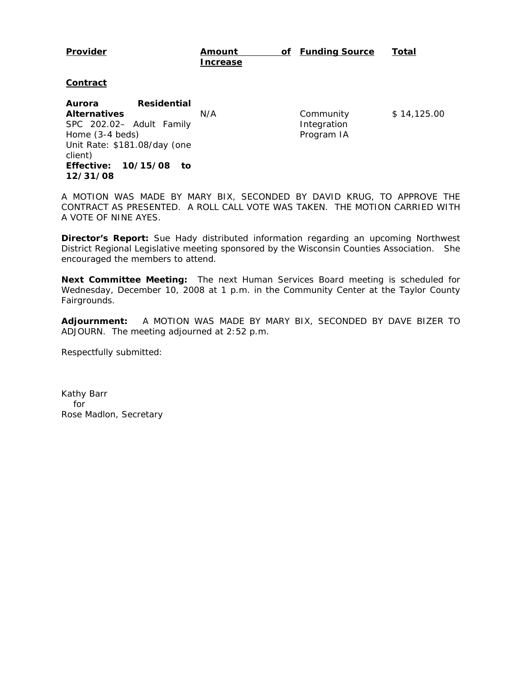#### **Provider Amount Increase of Funding Source Total**

## **Contract**

**Aurora Residential Alternatives**  SPC 202.02– Adult Family Home (3-4 beds) Unit Rate: \$181.08/day (one client) **Effective: 10/15/08 to 12/31/08**

N/A Community Integration Program IA

\$ 14,125.00

A MOTION WAS MADE BY MARY BIX, SECONDED BY DAVID KRUG, TO APPROVE THE CONTRACT AS PRESENTED. A ROLL CALL VOTE WAS TAKEN. THE MOTION CARRIED WITH A VOTE OF NINE AYES.

**Director's Report:** Sue Hady distributed information regarding an upcoming Northwest District Regional Legislative meeting sponsored by the Wisconsin Counties Association. She encouraged the members to attend.

**Next Committee Meeting:** The next Human Services Board meeting is scheduled for Wednesday, December 10, 2008 at 1 p.m. in the Community Center at the Taylor County Fairgrounds.

**Adjournment:** A MOTION WAS MADE BY MARY BIX, SECONDED BY DAVE BIZER TO ADJOURN. The meeting adjourned at 2:52 p.m.

Respectfully submitted: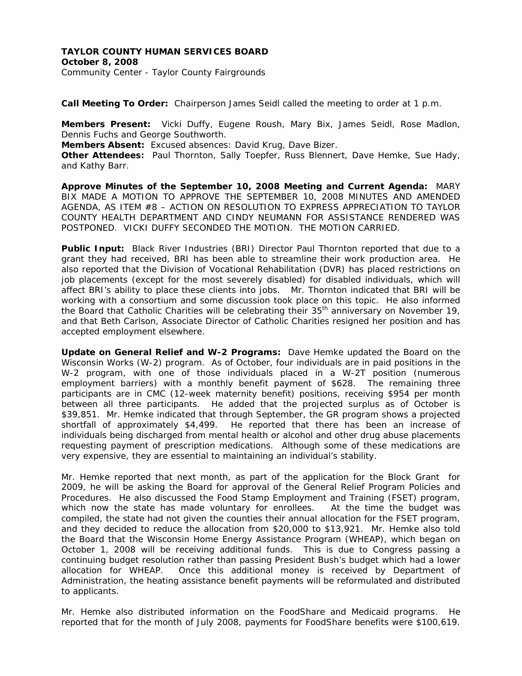## **TAYLOR COUNTY HUMAN SERVICES BOARD October 8, 2008**  Community Center - Taylor County Fairgrounds

**Call Meeting To Order:** Chairperson James Seidl called the meeting to order at 1 p.m.

**Members Present:** Vicki Duffy, Eugene Roush, Mary Bix, James Seidl, Rose Madlon, Dennis Fuchs and George Southworth. **Members Absent:** Excused absences: David Krug, Dave Bizer. **Other Attendees:** Paul Thornton, Sally Toepfer, Russ Blennert, Dave Hemke, Sue Hady,

and Kathy Barr.

**Approve Minutes of the September 10, 2008 Meeting and Current Agenda:** MARY BIX MADE A MOTION TO APPROVE THE SEPTEMBER 10, 2008 MINUTES AND AMENDED AGENDA, AS ITEM #8 – ACTION ON RESOLUTION TO EXPRESS APPRECIATION TO TAYLOR COUNTY HEALTH DEPARTMENT AND CINDY NEUMANN FOR ASSISTANCE RENDERED WAS POSTPONED. VICKI DUFFY SECONDED THE MOTION. THE MOTION CARRIED.

Public Input: Black River Industries (BRI) Director Paul Thornton reported that due to a grant they had received, BRI has been able to streamline their work production area. He also reported that the Division of Vocational Rehabilitation (DVR) has placed restrictions on job placements (except for the most severely disabled) for disabled individuals, which will affect BRI's ability to place these clients into jobs. Mr. Thornton indicated that BRI will be working with a consortium and some discussion took place on this topic. He also informed the Board that Catholic Charities will be celebrating their 35<sup>th</sup> anniversary on November 19, and that Beth Carlson, Associate Director of Catholic Charities resigned her position and has accepted employment elsewhere.

**Update on General Relief and W-2 Programs:** Dave Hemke updated the Board on the Wisconsin Works (W-2) program. As of October, four individuals are in paid positions in the W-2 program, with one of those individuals placed in a W-2T position (numerous employment barriers) with a monthly benefit payment of \$628. The remaining three participants are in CMC (12-week maternity benefit) positions, receiving \$954 per month between all three participants. He added that the projected surplus as of October is \$39,851. Mr. Hemke indicated that through September, the GR program shows a projected shortfall of approximately \$4,499. He reported that there has been an increase of individuals being discharged from mental health or alcohol and other drug abuse placements requesting payment of prescription medications. Although some of these medications are very expensive, they are essential to maintaining an individual's stability.

Mr. Hemke reported that next month, as part of the application for the Block Grant for 2009, he will be asking the Board for approval of the General Relief Program Policies and Procedures. He also discussed the Food Stamp Employment and Training (FSET) program, which now the state has made voluntary for enrollees. At the time the budget was compiled, the state had not given the counties their annual allocation for the FSET program, and they decided to reduce the allocation from \$20,000 to \$13,921. Mr. Hemke also told the Board that the Wisconsin Home Energy Assistance Program (WHEAP), which began on October 1, 2008 will be receiving additional funds. This is due to Congress passing a continuing budget resolution rather than passing President Bush's budget which had a lower allocation for WHEAP. Once this additional money is received by Department of Administration, the heating assistance benefit payments will be reformulated and distributed to applicants.

Mr. Hemke also distributed information on the FoodShare and Medicaid programs. He reported that for the month of July 2008, payments for FoodShare benefits were \$100,619.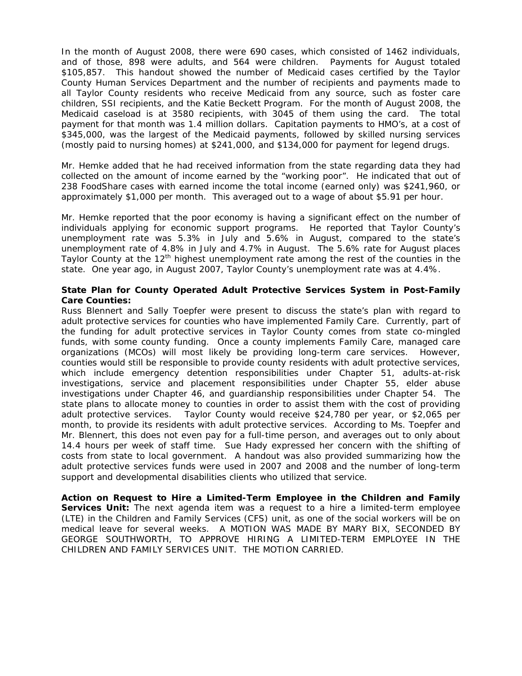In the month of August 2008, there were 690 cases, which consisted of 1462 individuals, and of those, 898 were adults, and 564 were children. Payments for August totaled \$105,857. This handout showed the number of Medicaid cases certified by the Taylor County Human Services Department and the number of recipients and payments made to all Taylor County residents who receive Medicaid from any source, such as foster care children, SSI recipients, and the Katie Beckett Program. For the month of August 2008, the Medicaid caseload is at 3580 recipients, with 3045 of them using the card. The total payment for that month was 1.4 million dollars. Capitation payments to HMO's, at a cost of \$345,000, was the largest of the Medicaid payments, followed by skilled nursing services (mostly paid to nursing homes) at \$241,000, and \$134,000 for payment for legend drugs.

Mr. Hemke added that he had received information from the state regarding data they had collected on the amount of income earned by the "working poor". He indicated that out of 238 FoodShare cases with earned income the total income (earned only) was \$241,960, or approximately \$1,000 per month. This averaged out to a wage of about \$5.91 per hour.

Mr. Hemke reported that the poor economy is having a significant effect on the number of individuals applying for economic support programs. He reported that Taylor County's unemployment rate was 5.3% in July and 5.6% in August, compared to the state's unemployment rate of 4.8% in July and 4.7% in August. The 5.6% rate for August places Taylor County at the  $12<sup>th</sup>$  highest unemployment rate among the rest of the counties in the state. One year ago, in August 2007, Taylor County's unemployment rate was at 4.4%.

## **State Plan for County Operated Adult Protective Services System in Post-Family Care Counties:**

Russ Blennert and Sally Toepfer were present to discuss the state's plan with regard to adult protective services for counties who have implemented Family Care. Currently, part of the funding for adult protective services in Taylor County comes from state co-mingled funds, with some county funding. Once a county implements Family Care, managed care organizations (MCOs) will most likely be providing long-term care services. However, counties would still be responsible to provide county residents with adult protective services, which include emergency detention responsibilities under Chapter 51, adults-at-risk investigations, service and placement responsibilities under Chapter 55, elder abuse investigations under Chapter 46, and guardianship responsibilities under Chapter 54. The state plans to allocate money to counties in order to assist them with the cost of providing adult protective services. Taylor County would receive \$24,780 per year, or \$2,065 per month, to provide its residents with adult protective services. According to Ms. Toepfer and Mr. Blennert, this does not even pay for a full-time person, and averages out to only about 14.4 hours per week of staff time. Sue Hady expressed her concern with the shifting of costs from state to local government. A handout was also provided summarizing how the adult protective services funds were used in 2007 and 2008 and the number of long-term support and developmental disabilities clients who utilized that service.

**Action on Request to Hire a Limited-Term Employee in the Children and Family Services Unit:** The next agenda item was a request to a hire a limited-term employee (LTE) in the Children and Family Services (CFS) unit, as one of the social workers will be on medical leave for several weeks. A MOTION WAS MADE BY MARY BIX, SECONDED BY GEORGE SOUTHWORTH, TO APPROVE HIRING A LIMITED-TERM EMPLOYEE IN THE CHILDREN AND FAMILY SERVICES UNIT. THE MOTION CARRIED.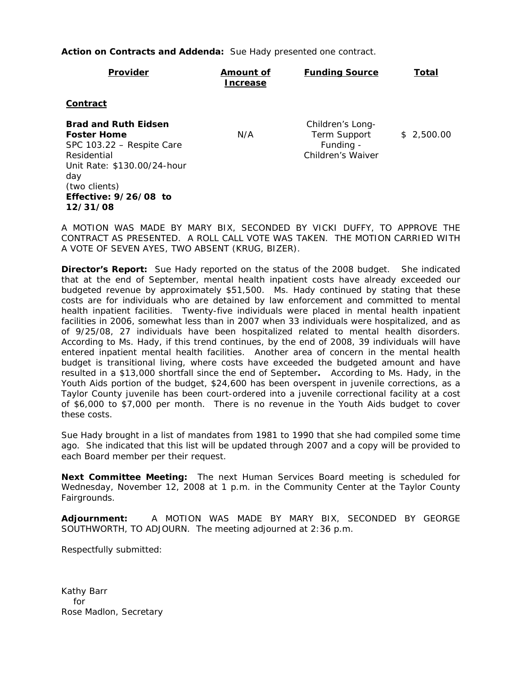**Action on Contracts and Addenda:** Sue Hady presented one contract.

| <b>Provider</b>                                                                                                                                                                           | <b>Amount of</b><br><b>Increase</b> | <b>Funding Source</b>                                              | <u>Total</u> |
|-------------------------------------------------------------------------------------------------------------------------------------------------------------------------------------------|-------------------------------------|--------------------------------------------------------------------|--------------|
| <u>Contract</u>                                                                                                                                                                           |                                     |                                                                    |              |
| <b>Brad and Ruth Eidsen</b><br><b>Foster Home</b><br>SPC 103.22 - Respite Care<br>Residential<br>Unit Rate: \$130.00/24-hour<br>day<br>(two clients)<br>Effective: 9/26/08 to<br>12/31/08 | N/A                                 | Children's Long-<br>Term Support<br>Funding -<br>Children's Waiver | \$2,500.00   |

A MOTION WAS MADE BY MARY BIX, SECONDED BY VICKI DUFFY, TO APPROVE THE CONTRACT AS PRESENTED. A ROLL CALL VOTE WAS TAKEN. THE MOTION CARRIED WITH A VOTE OF SEVEN AYES, TWO ABSENT (KRUG, BIZER).

**Director's Report:** Sue Hady reported on the status of the 2008 budget. She indicated that at the end of September, mental health inpatient costs have already exceeded our budgeted revenue by approximately \$51,500. Ms. Hady continued by stating that these costs are for individuals who are detained by law enforcement and committed to mental health inpatient facilities. Twenty-five individuals were placed in mental health inpatient facilities in 2006, somewhat less than in 2007 when 33 individuals were hospitalized, and as of 9/25/08, 27 individuals have been hospitalized related to mental health disorders. According to Ms. Hady, if this trend continues, by the end of 2008, 39 individuals will have entered inpatient mental health facilities. Another area of concern in the mental health budget is transitional living, where costs have exceeded the budgeted amount and have resulted in a \$13,000 shortfall since the end of September**.** According to Ms. Hady, in the Youth Aids portion of the budget, \$24,600 has been overspent in juvenile corrections, as a Taylor County juvenile has been court-ordered into a juvenile correctional facility at a cost of \$6,000 to \$7,000 per month. There is no revenue in the Youth Aids budget to cover these costs.

Sue Hady brought in a list of mandates from 1981 to 1990 that she had compiled some time ago. She indicated that this list will be updated through 2007 and a copy will be provided to each Board member per their request.

**Next Committee Meeting:** The next Human Services Board meeting is scheduled for Wednesday, November 12, 2008 at 1 p.m. in the Community Center at the Taylor County Fairgrounds.

**Adjournment:** A MOTION WAS MADE BY MARY BIX, SECONDED BY GEORGE SOUTHWORTH, TO ADJOURN. The meeting adjourned at 2:36 p.m.

Respectfully submitted: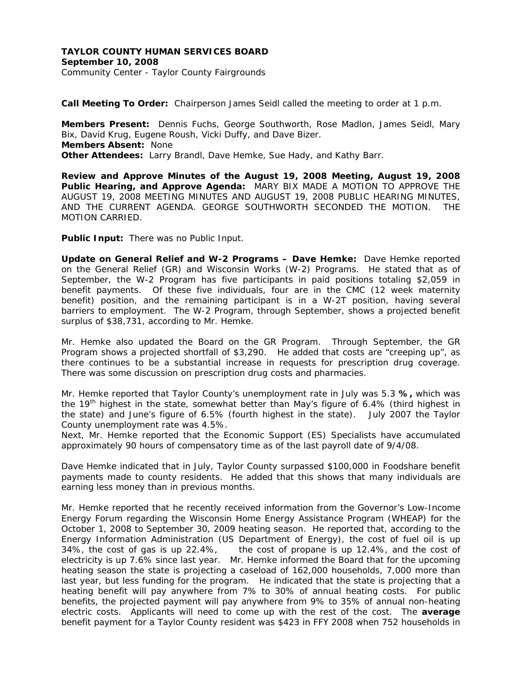## **TAYLOR COUNTY HUMAN SERVICES BOARD September 10, 2008**  Community Center - Taylor County Fairgrounds

**Call Meeting To Order:** Chairperson James Seidl called the meeting to order at 1 p.m.

**Members Present:** Dennis Fuchs, George Southworth, Rose Madlon, James Seidl, Mary Bix, David Krug, Eugene Roush, Vicki Duffy, and Dave Bizer. **Members Absent:** None **Other Attendees:** Larry Brandl, Dave Hemke, Sue Hady, and Kathy Barr.

**Review and Approve Minutes of the August 19, 2008 Meeting, August 19, 2008 Public Hearing, and Approve Agenda:** MARY BIX MADE A MOTION TO APPROVE THE AUGUST 19, 2008 MEETING MINUTES AND AUGUST 19, 2008 PUBLIC HEARING MINUTES, AND THE CURRENT AGENDA. GEORGE SOUTHWORTH SECONDED THE MOTION. THE MOTION CARRIED.

**Public Input:** There was no Public Input.

**Update on General Relief and W-2 Programs – Dave Hemke:** Dave Hemke reported on the General Relief (GR) and Wisconsin Works (W-2) Programs. He stated that as of September, the W-2 Program has five participants in paid positions totaling \$2,059 in benefit payments. Of these five individuals, four are in the CMC (12 week maternity benefit) position, and the remaining participant is in a W-2T position, having several barriers to employment. The W-2 Program, through September, shows a projected benefit surplus of \$38,731, according to Mr. Hemke.

Mr. Hemke also updated the Board on the GR Program. Through September, the GR Program shows a projected shortfall of \$3,290. He added that costs are "creeping up", as there continues to be a substantial increase in requests for prescription drug coverage. There was some discussion on prescription drug costs and pharmacies.

Mr. Hemke reported that Taylor County's unemployment rate in July was 5.3 **%,** which was the 19<sup>th</sup> highest in the state, somewhat better than May's figure of 6.4% (third highest in the state) and June's figure of 6.5% (fourth highest in the state). July 2007 the Taylor County unemployment rate was 4.5%.

Next, Mr. Hemke reported that the Economic Support (ES) Specialists have accumulated approximately 90 hours of compensatory time as of the last payroll date of 9/4/08.

Dave Hemke indicated that in July, Taylor County surpassed \$100,000 in Foodshare benefit payments made to county residents. He added that this shows that many individuals are earning less money than in previous months.

Mr. Hemke reported that he recently received information from the Governor's Low-Income Energy Forum regarding the Wisconsin Home Energy Assistance Program (WHEAP) for the October 1, 2008 to September 30, 2009 heating season. He reported that, according to the Energy Information Administration (US Department of Energy), the cost of fuel oil is up 34%, the cost of gas is up 22.4%, the cost of propane is up 12.4%, and the cost of electricity is up 7.6% since last year. Mr. Hemke informed the Board that for the upcoming heating season the state is projecting a caseload of 162,000 households, 7,000 more than last year, but less funding for the program. He indicated that the state is projecting that a heating benefit will pay anywhere from 7% to 30% of annual heating costs. For public benefits, the projected payment will pay anywhere from 9% to 35% of annual non-heating electric costs. Applicants will need to come up with the rest of the cost. The **average** benefit payment for a Taylor County resident was \$423 in FFY 2008 when 752 households in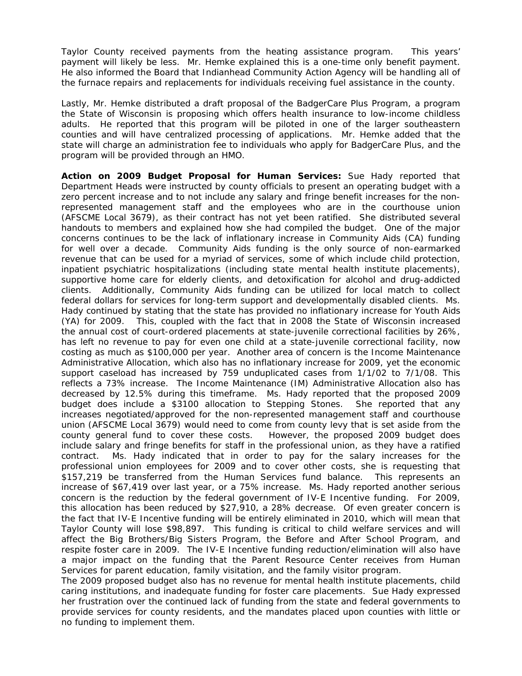Taylor County received payments from the heating assistance program. This years' payment will likely be less. Mr. Hemke explained this is a one-time only benefit payment. He also informed the Board that Indianhead Community Action Agency will be handling all of the furnace repairs and replacements for individuals receiving fuel assistance in the county.

Lastly, Mr. Hemke distributed a draft proposal of the BadgerCare Plus Program, a program the State of Wisconsin is proposing which offers health insurance to low-income childless adults. He reported that this program will be piloted in one of the larger southeastern counties and will have centralized processing of applications. Mr. Hemke added that the state will charge an administration fee to individuals who apply for BadgerCare Plus, and the program will be provided through an HMO.

**Action on 2009 Budget Proposal for Human Services:** Sue Hady reported that Department Heads were instructed by county officials to present an operating budget with a zero percent increase and to not include any salary and fringe benefit increases for the nonrepresented management staff and the employees who are in the courthouse union (AFSCME Local 3679), as their contract has not yet been ratified. She distributed several handouts to members and explained how she had compiled the budget. One of the major concerns continues to be the lack of inflationary increase in Community Aids (CA) funding for well over a decade. Community Aids funding is the only source of non-earmarked revenue that can be used for a myriad of services, some of which include child protection, inpatient psychiatric hospitalizations (including state mental health institute placements), supportive home care for elderly clients, and detoxification for alcohol and drug-addicted clients. Additionally, Community Aids funding can be utilized for local match to collect federal dollars for services for long-term support and developmentally disabled clients. Ms. Hady continued by stating that the state has provided no inflationary increase for Youth Aids (YA) for 2009. This, coupled with the fact that in 2008 the State of Wisconsin increased the annual cost of court-ordered placements at state-juvenile correctional facilities by 26%, has left no revenue to pay for even one child at a state-juvenile correctional facility, now costing as much as \$100,000 per year. Another area of concern is the Income Maintenance Administrative Allocation, which also has no inflationary increase for 2009, yet the economic support caseload has increased by 759 unduplicated cases from 1/1/02 to 7/1/08. This reflects a 73% increase. The Income Maintenance (IM) Administrative Allocation also has decreased by 12.5% during this timeframe. Ms. Hady reported that the proposed 2009 budget does include a \$3100 allocation to Stepping Stones. She reported that any increases negotiated/approved for the non-represented management staff and courthouse union (AFSCME Local 3679) would need to come from county levy that is set aside from the county general fund to cover these costs. However, the proposed 2009 budget does include salary and fringe benefits for staff in the professional union, as they have a ratified contract. Ms. Hady indicated that in order to pay for the salary increases for the professional union employees for 2009 and to cover other costs, she is requesting that \$157,219 be transferred from the Human Services fund balance. This represents an increase of \$67,419 over last year, or a 75% increase. Ms. Hady reported another serious concern is the reduction by the federal government of IV-E Incentive funding. For 2009, this allocation has been reduced by \$27,910, a 28% decrease. Of even greater concern is the fact that IV-E Incentive funding will be entirely eliminated in 2010, which will mean that Taylor County will lose \$98,897. This funding is critical to child welfare services and will affect the Big Brothers/Big Sisters Program, the Before and After School Program, and respite foster care in 2009. The IV-E Incentive funding reduction/elimination will also have a major impact on the funding that the Parent Resource Center receives from Human Services for parent education, family visitation, and the family visitor program.

The 2009 proposed budget also has no revenue for mental health institute placements, child caring institutions, and inadequate funding for foster care placements. Sue Hady expressed her frustration over the continued lack of funding from the state and federal governments to provide services for county residents, and the mandates placed upon counties with little or no funding to implement them.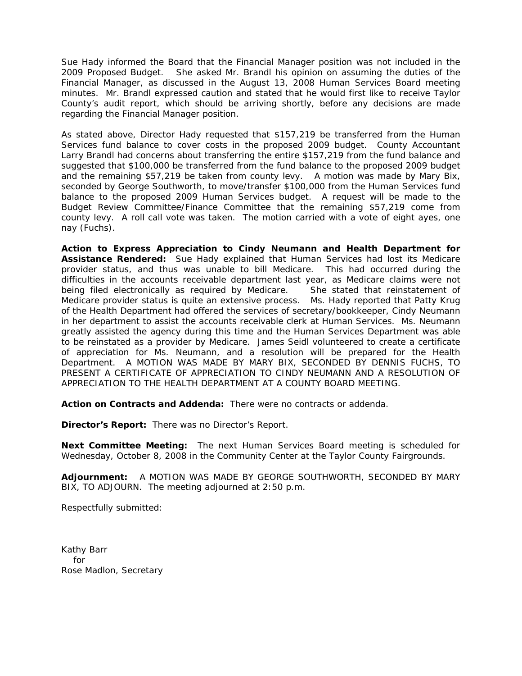Sue Hady informed the Board that the Financial Manager position was not included in the 2009 Proposed Budget. She asked Mr. Brandl his opinion on assuming the duties of the Financial Manager, as discussed in the August 13, 2008 Human Services Board meeting minutes. Mr. Brandl expressed caution and stated that he would first like to receive Taylor County's audit report, which should be arriving shortly, before any decisions are made regarding the Financial Manager position.

As stated above, Director Hady requested that \$157,219 be transferred from the Human Services fund balance to cover costs in the proposed 2009 budget. County Accountant Larry Brandl had concerns about transferring the entire \$157,219 from the fund balance and suggested that \$100,000 be transferred from the fund balance to the proposed 2009 budget and the remaining \$57,219 be taken from county levy. A motion was made by Mary Bix, seconded by George Southworth, to move/transfer \$100,000 from the Human Services fund balance to the proposed 2009 Human Services budget. A request will be made to the Budget Review Committee/Finance Committee that the remaining \$57,219 come from county levy. A roll call vote was taken. The motion carried with a vote of eight ayes, one nay (Fuchs).

**Action to Express Appreciation to Cindy Neumann and Health Department for Assistance Rendered:** Sue Hady explained that Human Services had lost its Medicare provider status, and thus was unable to bill Medicare. This had occurred during the difficulties in the accounts receivable department last year, as Medicare claims were not being filed electronically as required by Medicare. She stated that reinstatement of Medicare provider status is quite an extensive process. Ms. Hady reported that Patty Krug of the Health Department had offered the services of secretary/bookkeeper, Cindy Neumann in her department to assist the accounts receivable clerk at Human Services. Ms. Neumann greatly assisted the agency during this time and the Human Services Department was able to be reinstated as a provider by Medicare. James Seidl volunteered to create a certificate of appreciation for Ms. Neumann, and a resolution will be prepared for the Health Department. A MOTION WAS MADE BY MARY BIX, SECONDED BY DENNIS FUCHS, TO PRESENT A CERTIFICATE OF APPRECIATION TO CINDY NEUMANN AND A RESOLUTION OF APPRECIATION TO THE HEALTH DEPARTMENT AT A COUNTY BOARD MEETING.

**Action on Contracts and Addenda:** There were no contracts or addenda.

**Director's Report:** There was no Director's Report.

**Next Committee Meeting:** The next Human Services Board meeting is scheduled for Wednesday, October 8, 2008 in the Community Center at the Taylor County Fairgrounds.

**Adjournment:** A MOTION WAS MADE BY GEORGE SOUTHWORTH, SECONDED BY MARY BIX, TO ADJOURN. The meeting adjourned at 2:50 p.m.

Respectfully submitted: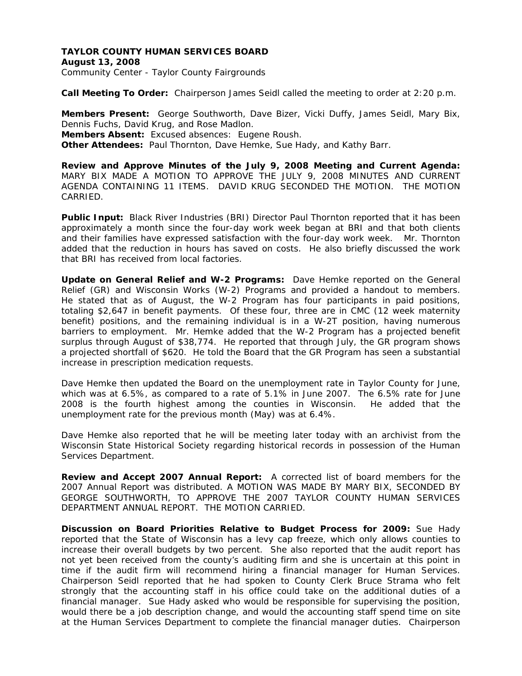## **TAYLOR COUNTY HUMAN SERVICES BOARD August 13, 2008**  Community Center - Taylor County Fairgrounds

**Call Meeting To Order:** Chairperson James Seidl called the meeting to order at 2:20 p.m.

**Members Present:** George Southworth, Dave Bizer, Vicki Duffy, James Seidl, Mary Bix, Dennis Fuchs, David Krug, and Rose Madlon. **Members Absent:** Excused absences: Eugene Roush. **Other Attendees:** Paul Thornton, Dave Hemke, Sue Hady, and Kathy Barr.

**Review and Approve Minutes of the July 9, 2008 Meeting and Current Agenda:** MARY BIX MADE A MOTION TO APPROVE THE JULY 9, 2008 MINUTES AND CURRENT AGENDA CONTAINING 11 ITEMS. DAVID KRUG SECONDED THE MOTION. THE MOTION CARRIED.

**Public Input:** Black River Industries (BRI) Director Paul Thornton reported that it has been approximately a month since the four-day work week began at BRI and that both clients and their families have expressed satisfaction with the four-day work week. Mr. Thornton added that the reduction in hours has saved on costs. He also briefly discussed the work that BRI has received from local factories.

**Update on General Relief and W-2 Programs:** Dave Hemke reported on the General Relief (GR) and Wisconsin Works (W-2) Programs and provided a handout to members. He stated that as of August, the W-2 Program has four participants in paid positions, totaling \$2,647 in benefit payments. Of these four, three are in CMC (12 week maternity benefit) positions, and the remaining individual is in a W-2T position, having numerous barriers to employment. Mr. Hemke added that the W-2 Program has a projected benefit surplus through August of \$38,774. He reported that through July, the GR program shows a projected shortfall of \$620. He told the Board that the GR Program has seen a substantial increase in prescription medication requests.

Dave Hemke then updated the Board on the unemployment rate in Taylor County for June, which was at 6.5%, as compared to a rate of 5.1% in June 2007. The 6.5% rate for June 2008 is the fourth highest among the counties in Wisconsin. He added that the unemployment rate for the previous month (May) was at 6.4%.

Dave Hemke also reported that he will be meeting later today with an archivist from the Wisconsin State Historical Society regarding historical records in possession of the Human Services Department.

**Review and Accept 2007 Annual Report:** A corrected list of board members for the 2007 Annual Report was distributed. A MOTION WAS MADE BY MARY BIX, SECONDED BY GEORGE SOUTHWORTH, TO APPROVE THE 2007 TAYLOR COUNTY HUMAN SERVICES DEPARTMENT ANNUAL REPORT. THE MOTION CARRIED.

**Discussion on Board Priorities Relative to Budget Process for 2009:** Sue Hady reported that the State of Wisconsin has a levy cap freeze, which only allows counties to increase their overall budgets by two percent. She also reported that the audit report has not yet been received from the county's auditing firm and she is uncertain at this point in time if the audit firm will recommend hiring a financial manager for Human Services. Chairperson Seidl reported that he had spoken to County Clerk Bruce Strama who felt strongly that the accounting staff in his office could take on the additional duties of a financial manager. Sue Hady asked who would be responsible for supervising the position, would there be a job description change, and would the accounting staff spend time on site at the Human Services Department to complete the financial manager duties. Chairperson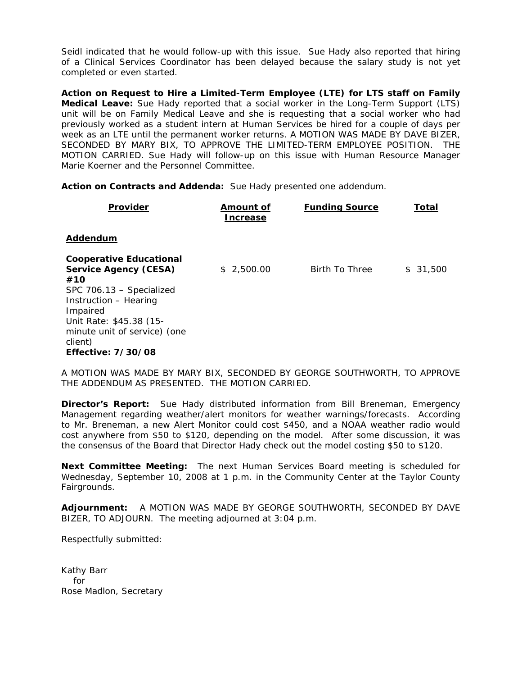Seidl indicated that he would follow-up with this issue. Sue Hady also reported that hiring of a Clinical Services Coordinator has been delayed because the salary study is not yet completed or even started.

**Action on Request to Hire a Limited-Term Employee (LTE) for LTS staff on Family Medical Leave:** Sue Hady reported that a social worker in the Long-Term Support (LTS) unit will be on Family Medical Leave and she is requesting that a social worker who had previously worked as a student intern at Human Services be hired for a couple of days per week as an LTE until the permanent worker returns. A MOTION WAS MADE BY DAVE BIZER, SECONDED BY MARY BIX, TO APPROVE THE LIMITED-TERM EMPLOYEE POSITION. THE MOTION CARRIED. Sue Hady will follow-up on this issue with Human Resource Manager Marie Koerner and the Personnel Committee.

**Action on Contracts and Addenda:** Sue Hady presented one addendum.

| Provider                                                                                                                                                                                                                                  | Amount of<br><b>Increase</b> | <b>Funding Source</b> | Total    |
|-------------------------------------------------------------------------------------------------------------------------------------------------------------------------------------------------------------------------------------------|------------------------------|-----------------------|----------|
| Addendum                                                                                                                                                                                                                                  |                              |                       |          |
| <b>Cooperative Educational</b><br><b>Service Agency (CESA)</b><br>#10<br>SPC 706.13 - Specialized<br>Instruction - Hearing<br>Impaired<br>Unit Rate: \$45.38 (15-<br>minute unit of service) (one<br>client)<br><b>Effective: 7/30/08</b> | \$2,500.00                   | Birth To Three        | \$31,500 |

A MOTION WAS MADE BY MARY BIX, SECONDED BY GEORGE SOUTHWORTH, TO APPROVE THE ADDENDUM AS PRESENTED. THE MOTION CARRIED.

**Director's Report:** Sue Hady distributed information from Bill Breneman, Emergency Management regarding weather/alert monitors for weather warnings/forecasts. According to Mr. Breneman, a new Alert Monitor could cost \$450, and a NOAA weather radio would cost anywhere from \$50 to \$120, depending on the model. After some discussion, it was the consensus of the Board that Director Hady check out the model costing \$50 to \$120.

**Next Committee Meeting:** The next Human Services Board meeting is scheduled for Wednesday, September 10, 2008 at 1 p.m. in the Community Center at the Taylor County Fairgrounds.

**Adjournment:** A MOTION WAS MADE BY GEORGE SOUTHWORTH, SECONDED BY DAVE BIZER, TO ADJOURN. The meeting adjourned at 3:04 p.m.

Respectfully submitted: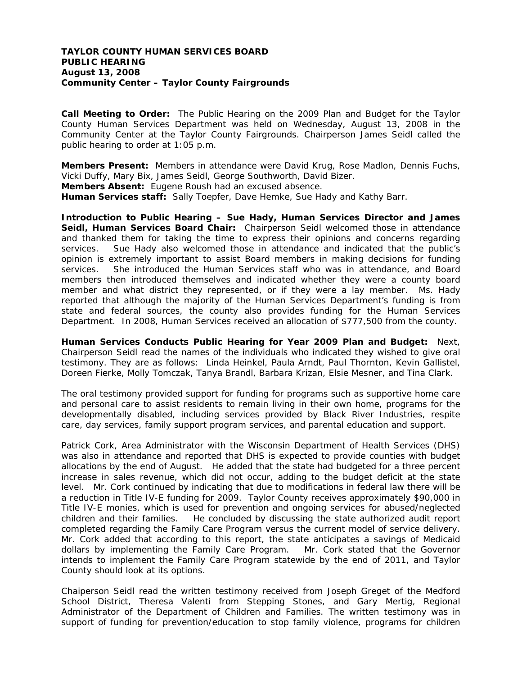## **TAYLOR COUNTY HUMAN SERVICES BOARD PUBLIC HEARING August 13, 2008 Community Center – Taylor County Fairgrounds**

**Call Meeting to Order:** The Public Hearing on the 2009 Plan and Budget for the Taylor County Human Services Department was held on Wednesday, August 13, 2008 in the Community Center at the Taylor County Fairgrounds. Chairperson James Seidl called the public hearing to order at 1:05 p.m.

**Members Present:** Members in attendance were David Krug, Rose Madlon, Dennis Fuchs, Vicki Duffy, Mary Bix, James Seidl, George Southworth, David Bizer.

**Members Absent:** Eugene Roush had an excused absence.

**Human Services staff:** Sally Toepfer, Dave Hemke, Sue Hady and Kathy Barr.

**Introduction to Public Hearing – Sue Hady, Human Services Director and James Seidl, Human Services Board Chair:** Chairperson Seidl welcomed those in attendance and thanked them for taking the time to express their opinions and concerns regarding services. Sue Hady also welcomed those in attendance and indicated that the public's opinion is extremely important to assist Board members in making decisions for funding services. She introduced the Human Services staff who was in attendance, and Board members then introduced themselves and indicated whether they were a county board member and what district they represented, or if they were a lay member. Ms. Hady reported that although the majority of the Human Services Department's funding is from state and federal sources, the county also provides funding for the Human Services Department. In 2008, Human Services received an allocation of \$777,500 from the county.

**Human Services Conducts Public Hearing for Year 2009 Plan and Budget:** Next, Chairperson Seidl read the names of the individuals who indicated they wished to give oral testimony. They are as follows: Linda Heinkel, Paula Arndt, Paul Thornton, Kevin Gallistel, Doreen Fierke, Molly Tomczak, Tanya Brandl, Barbara Krizan, Elsie Mesner, and Tina Clark.

The oral testimony provided support for funding for programs such as supportive home care and personal care to assist residents to remain living in their own home, programs for the developmentally disabled, including services provided by Black River Industries, respite care, day services, family support program services, and parental education and support.

Patrick Cork, Area Administrator with the Wisconsin Department of Health Services (DHS) was also in attendance and reported that DHS is expected to provide counties with budget allocations by the end of August. He added that the state had budgeted for a three percent increase in sales revenue, which did not occur, adding to the budget deficit at the state level. Mr. Cork continued by indicating that due to modifications in federal law there will be a reduction in Title IV-E funding for 2009. Taylor County receives approximately \$90,000 in Title IV-E monies, which is used for prevention and ongoing services for abused/neglected children and their families.He concluded by discussing the state authorized audit report completed regarding the Family Care Program versus the current model of service delivery. Mr. Cork added that according to this report, the state anticipates a savings of Medicaid dollars by implementing the Family Care Program. Mr. Cork stated that the Governor intends to implement the Family Care Program statewide by the end of 2011, and Taylor County should look at its options.

Chaiperson Seidl read the written testimony received from Joseph Greget of the Medford School District, Theresa Valenti from Stepping Stones, and Gary Mertig, Regional Administrator of the Department of Children and Families. The written testimony was in support of funding for prevention/education to stop family violence, programs for children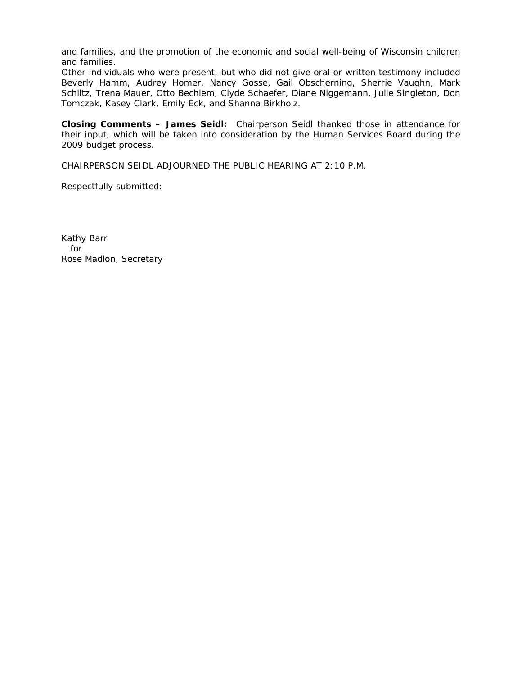and families, and the promotion of the economic and social well-being of Wisconsin children and families.

Other individuals who were present, but who did not give oral or written testimony included Beverly Hamm, Audrey Homer, Nancy Gosse, Gail Obscherning, Sherrie Vaughn, Mark Schiltz, Trena Mauer, Otto Bechlem, Clyde Schaefer, Diane Niggemann, Julie Singleton, Don Tomczak, Kasey Clark, Emily Eck, and Shanna Birkholz.

**Closing Comments – James Seidl:** Chairperson Seidl thanked those in attendance for their input, which will be taken into consideration by the Human Services Board during the 2009 budget process.

CHAIRPERSON SEIDL ADJOURNED THE PUBLIC HEARING AT 2:10 P.M.

Respectfully submitted: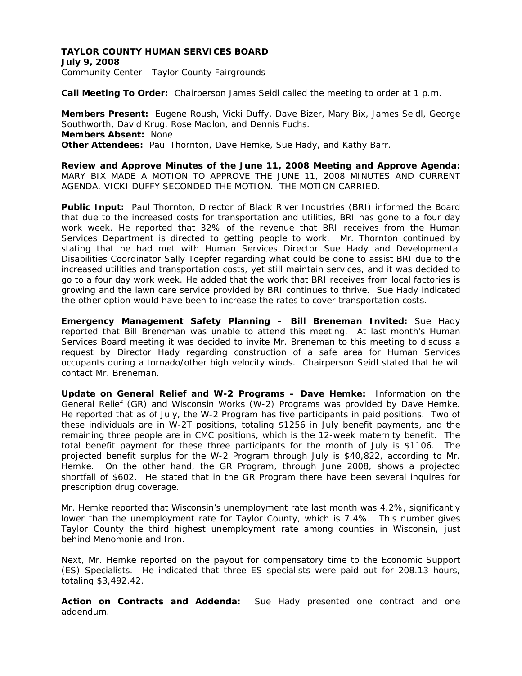## **TAYLOR COUNTY HUMAN SERVICES BOARD July 9, 2008**  Community Center - Taylor County Fairgrounds

**Call Meeting To Order:** Chairperson James Seidl called the meeting to order at 1 p.m.

**Members Present:** Eugene Roush, Vicki Duffy, Dave Bizer, Mary Bix, James Seidl, George Southworth, David Krug, Rose Madlon, and Dennis Fuchs. **Members Absent:** None **Other Attendees:** Paul Thornton, Dave Hemke, Sue Hady, and Kathy Barr.

**Review and Approve Minutes of the June 11, 2008 Meeting and Approve Agenda:** MARY BIX MADE A MOTION TO APPROVE THE JUNE 11, 2008 MINUTES AND CURRENT AGENDA. VICKI DUFFY SECONDED THE MOTION. THE MOTION CARRIED.

**Public Input:** Paul Thornton, Director of Black River Industries (BRI) informed the Board that due to the increased costs for transportation and utilities, BRI has gone to a four day work week. He reported that 32% of the revenue that BRI receives from the Human Services Department is directed to getting people to work. Mr. Thornton continued by stating that he had met with Human Services Director Sue Hady and Developmental Disabilities Coordinator Sally Toepfer regarding what could be done to assist BRI due to the increased utilities and transportation costs, yet still maintain services, and it was decided to go to a four day work week. He added that the work that BRI receives from local factories is growing and the lawn care service provided by BRI continues to thrive. Sue Hady indicated the other option would have been to increase the rates to cover transportation costs.

**Emergency Management Safety Planning – Bill Breneman Invited:** Sue Hady reported that Bill Breneman was unable to attend this meeting. At last month's Human Services Board meeting it was decided to invite Mr. Breneman to this meeting to discuss a request by Director Hady regarding construction of a safe area for Human Services occupants during a tornado/other high velocity winds. Chairperson Seidl stated that he will contact Mr. Breneman.

**Update on General Relief and W-2 Programs – Dave Hemke:** Information on the General Relief (GR) and Wisconsin Works (W-2) Programs was provided by Dave Hemke. He reported that as of July, the W-2 Program has five participants in paid positions. Two of these individuals are in W-2T positions, totaling \$1256 in July benefit payments, and the remaining three people are in CMC positions, which is the 12-week maternity benefit. The total benefit payment for these three participants for the month of July is \$1106. The projected benefit surplus for the W-2 Program through July is \$40,822, according to Mr. Hemke. On the other hand, the GR Program, through June 2008, shows a projected shortfall of \$602. He stated that in the GR Program there have been several inquires for prescription drug coverage.

Mr. Hemke reported that Wisconsin's unemployment rate last month was 4.2%, significantly lower than the unemployment rate for Taylor County, which is 7.4%. This number gives Taylor County the third highest unemployment rate among counties in Wisconsin, just behind Menomonie and Iron.

Next, Mr. Hemke reported on the payout for compensatory time to the Economic Support (ES) Specialists. He indicated that three ES specialists were paid out for 208.13 hours, totaling \$3,492.42.

**Action on Contracts and Addenda:** Sue Hady presented one contract and one addendum.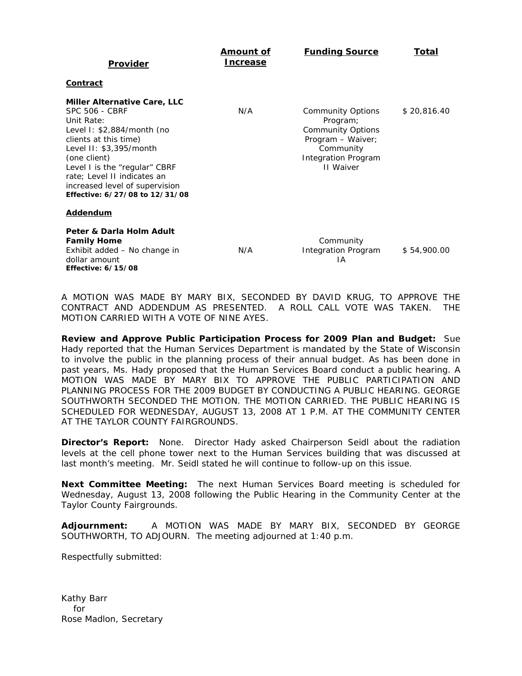| <b>Provider</b>                                                                                                                                                                                                                                                                                                  | Amount of<br><b>Increase</b> | <b>Funding Source</b>                                                                                                                         | Total       |
|------------------------------------------------------------------------------------------------------------------------------------------------------------------------------------------------------------------------------------------------------------------------------------------------------------------|------------------------------|-----------------------------------------------------------------------------------------------------------------------------------------------|-------------|
| <u>Contract</u>                                                                                                                                                                                                                                                                                                  |                              |                                                                                                                                               |             |
| <b>Miller Alternative Care, LLC</b><br><b>SPC 506 - CBRF</b><br>Unit Rate:<br>Level I: \$2,884/month (no<br>clients at this time)<br>Level II: \$3,395/month<br>(one client)<br>Level I is the "regular" CBRF<br>rate; Level II indicates an<br>increased level of supervision<br>Effective: 6/27/08 to 12/31/08 | N/A                          | <b>Community Options</b><br>Program;<br><b>Community Options</b><br>Program - Waiver;<br>Community<br><b>Integration Program</b><br>II Waiver | \$20,816.40 |
| <b>Addendum</b>                                                                                                                                                                                                                                                                                                  |                              |                                                                                                                                               |             |
| Peter & Darla Holm Adult<br><b>Family Home</b><br>Exhibit added - No change in<br>dollar amount<br><b>Effective: 6/15/08</b>                                                                                                                                                                                     | N/A                          | Community<br>Integration Program<br>ΙA                                                                                                        | \$54,900.00 |

A MOTION WAS MADE BY MARY BIX, SECONDED BY DAVID KRUG, TO APPROVE THE CONTRACT AND ADDENDUM AS PRESENTED. A ROLL CALL VOTE WAS TAKEN. THE MOTION CARRIED WITH A VOTE OF NINE AYES.

**Review and Approve Public Participation Process for 2009 Plan and Budget:** Sue Hady reported that the Human Services Department is mandated by the State of Wisconsin to involve the public in the planning process of their annual budget. As has been done in past years, Ms. Hady proposed that the Human Services Board conduct a public hearing. A MOTION WAS MADE BY MARY BIX TO APPROVE THE PUBLIC PARTICIPATION AND PLANNING PROCESS FOR THE 2009 BUDGET BY CONDUCTING A PUBLIC HEARING. GEORGE SOUTHWORTH SECONDED THE MOTION. THE MOTION CARRIED. THE PUBLIC HEARING IS SCHEDULED FOR WEDNESDAY, AUGUST 13, 2008 AT 1 P.M. AT THE COMMUNITY CENTER AT THE TAYLOR COUNTY FAIRGROUNDS.

**Director's Report:** None. Director Hady asked Chairperson Seidl about the radiation levels at the cell phone tower next to the Human Services building that was discussed at last month's meeting. Mr. Seidl stated he will continue to follow-up on this issue.

**Next Committee Meeting:** The next Human Services Board meeting is scheduled for Wednesday, August 13, 2008 following the Public Hearing in the Community Center at the Taylor County Fairgrounds.

**Adjournment:** A MOTION WAS MADE BY MARY BIX, SECONDED BY GEORGE SOUTHWORTH, TO ADJOURN. The meeting adjourned at 1:40 p.m.

Respectfully submitted: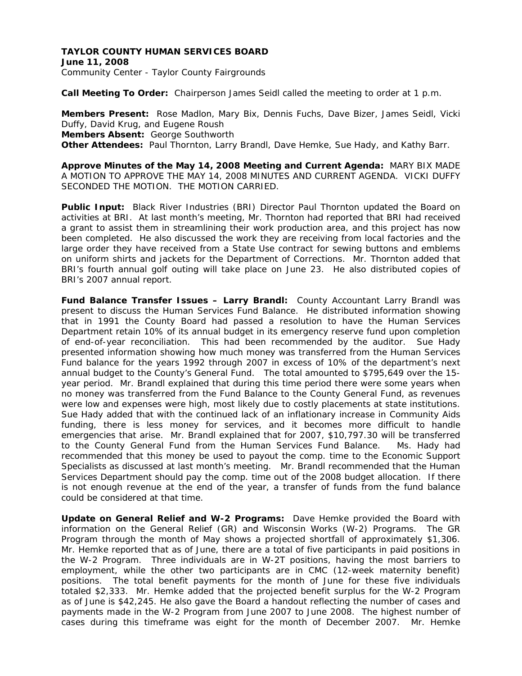# **TAYLOR COUNTY HUMAN SERVICES BOARD June 11, 2008**

Community Center - Taylor County Fairgrounds

**Call Meeting To Order:** Chairperson James Seidl called the meeting to order at 1 p.m.

**Members Present:** Rose Madlon, Mary Bix, Dennis Fuchs, Dave Bizer, James Seidl, Vicki Duffy, David Krug, and Eugene Roush **Members Absent:** George Southworth **Other Attendees:** Paul Thornton, Larry Brandl, Dave Hemke, Sue Hady, and Kathy Barr.

**Approve Minutes of the May 14, 2008 Meeting and Current Agenda:** MARY BIX MADE A MOTION TO APPROVE THE MAY 14, 2008 MINUTES AND CURRENT AGENDA. VICKI DUFFY SECONDED THE MOTION. THE MOTION CARRIED.

**Public Input:** Black River Industries (BRI) Director Paul Thornton updated the Board on activities at BRI. At last month's meeting, Mr. Thornton had reported that BRI had received a grant to assist them in streamlining their work production area, and this project has now been completed. He also discussed the work they are receiving from local factories and the large order they have received from a State Use contract for sewing buttons and emblems on uniform shirts and jackets for the Department of Corrections. Mr. Thornton added that BRI's fourth annual golf outing will take place on June 23. He also distributed copies of BRI's 2007 annual report.

**Fund Balance Transfer Issues – Larry Brandl:** County Accountant Larry Brandl was present to discuss the Human Services Fund Balance. He distributed information showing that in 1991 the County Board had passed a resolution to have the Human Services Department retain 10% of its annual budget in its emergency reserve fund upon completion of end-of-year reconciliation. This had been recommended by the auditor. Sue Hady presented information showing how much money was transferred from the Human Services Fund balance for the years 1992 through 2007 in excess of 10% of the department's next annual budget to the County's General Fund. The total amounted to \$795,649 over the 15 year period. Mr. Brandl explained that during this time period there were some years when no money was transferred from the Fund Balance to the County General Fund, as revenues were low and expenses were high, most likely due to costly placements at state institutions. Sue Hady added that with the continued lack of an inflationary increase in Community Aids funding, there is less money for services, and it becomes more difficult to handle emergencies that arise. Mr. Brandl explained that for 2007, \$10,797.30 will be transferred to the County General Fund from the Human Services Fund Balance. Ms. Hady had recommended that this money be used to payout the comp. time to the Economic Support Specialists as discussed at last month's meeting. Mr. Brandl recommended that the Human Services Department should pay the comp. time out of the 2008 budget allocation. If there is not enough revenue at the end of the year, a transfer of funds from the fund balance could be considered at that time.

**Update on General Relief and W-2 Programs:** Dave Hemke provided the Board with information on the General Relief (GR) and Wisconsin Works (W-2) Programs. The GR Program through the month of May shows a projected shortfall of approximately \$1,306. Mr. Hemke reported that as of June, there are a total of five participants in paid positions in the W-2 Program. Three individuals are in W-2T positions, having the most barriers to employment, while the other two participants are in CMC (12-week maternity benefit) positions. The total benefit payments for the month of June for these five individuals totaled \$2,333. Mr. Hemke added that the projected benefit surplus for the W-2 Program as of June is \$42,245. He also gave the Board a handout reflecting the number of cases and payments made in the W-2 Program from June 2007 to June 2008. The highest number of cases during this timeframe was eight for the month of December 2007. Mr. Hemke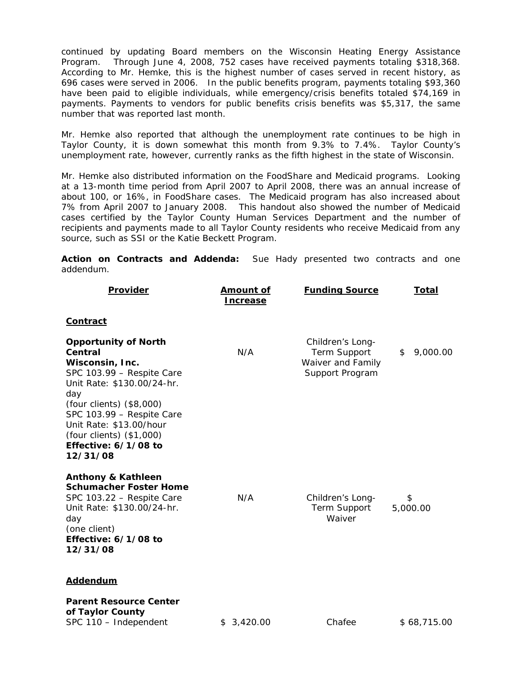continued by updating Board members on the Wisconsin Heating Energy Assistance Program. Through June 4, 2008, 752 cases have received payments totaling \$318,368. According to Mr. Hemke, this is the highest number of cases served in recent history, as 696 cases were served in 2006. In the public benefits program, payments totaling \$93,360 have been paid to eligible individuals, while emergency/crisis benefits totaled \$74,169 in payments. Payments to vendors for public benefits crisis benefits was \$5,317, the same number that was reported last month.

Mr. Hemke also reported that although the unemployment rate continues to be high in Taylor County, it is down somewhat this month from 9.3% to 7.4%. Taylor County's unemployment rate, however, currently ranks as the fifth highest in the state of Wisconsin.

Mr. Hemke also distributed information on the FoodShare and Medicaid programs. Looking at a 13-month time period from April 2007 to April 2008, there was an annual increase of about 100, or 16%, in FoodShare cases. The Medicaid program has also increased about 7% from April 2007 to January 2008. This handout also showed the number of Medicaid cases certified by the Taylor County Human Services Department and the number of recipients and payments made to all Taylor County residents who receive Medicaid from any source, such as SSI or the Katie Beckett Program.

**Action on Contracts and Addenda:** Sue Hady presented two contracts and one addendum.

| Provider                                                                                                                                                                                                                                                                        | <u>Amount of</u><br><u>Increase</u> | <b>Funding Source</b>                                                    | Total          |
|---------------------------------------------------------------------------------------------------------------------------------------------------------------------------------------------------------------------------------------------------------------------------------|-------------------------------------|--------------------------------------------------------------------------|----------------|
| <b>Contract</b>                                                                                                                                                                                                                                                                 |                                     |                                                                          |                |
| <b>Opportunity of North</b><br>Central<br>Wisconsin, Inc.<br>SPC 103.99 - Respite Care<br>Unit Rate: \$130.00/24-hr.<br>day<br>(four clients) (\$8,000)<br>SPC 103.99 - Respite Care<br>Unit Rate: \$13.00/hour<br>(four clients) (\$1,000)<br>Effective: 6/1/08 to<br>12/31/08 | N/A                                 | Children's Long-<br>Term Support<br>Waiver and Family<br>Support Program | 9,000.00<br>\$ |
| <b>Anthony &amp; Kathleen</b><br><b>Schumacher Foster Home</b><br>SPC 103.22 - Respite Care<br>Unit Rate: \$130.00/24-hr.<br>day<br>(one client)<br>Effective: 6/1/08 to<br>12/31/08                                                                                            | N/A                                 | Children's Long-<br>Term Support<br>Waiver                               | \$<br>5,000.00 |
| <b>Addendum</b>                                                                                                                                                                                                                                                                 |                                     |                                                                          |                |
| <b>Parent Resource Center</b><br>of Taylor County<br>SPC 110 - Independent                                                                                                                                                                                                      | \$3,420.00                          | Chafee                                                                   | \$68,715.00    |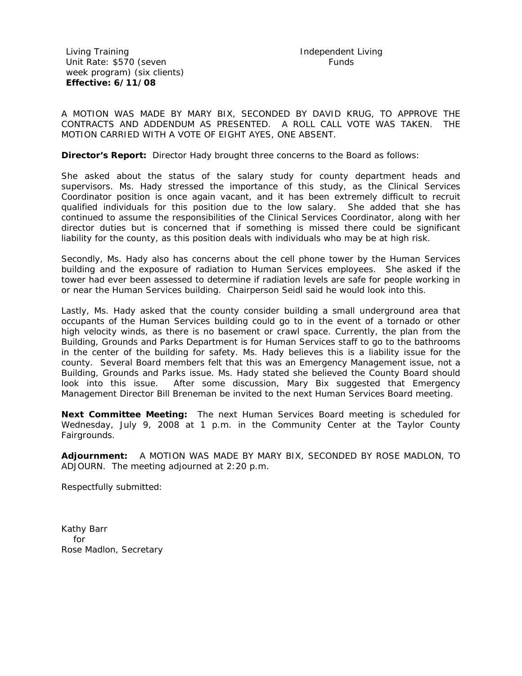Living Training Unit Rate: \$570 (seven week program) (six clients) **Effective: 6/11/08** 

A MOTION WAS MADE BY MARY BIX, SECONDED BY DAVID KRUG, TO APPROVE THE CONTRACTS AND ADDENDUM AS PRESENTED. A ROLL CALL VOTE WAS TAKEN. THE MOTION CARRIED WITH A VOTE OF EIGHT AYES, ONE ABSENT.

**Director's Report:** Director Hady brought three concerns to the Board as follows:

She asked about the status of the salary study for county department heads and supervisors. Ms. Hady stressed the importance of this study, as the Clinical Services Coordinator position is once again vacant, and it has been extremely difficult to recruit qualified individuals for this position due to the low salary. She added that she has continued to assume the responsibilities of the Clinical Services Coordinator, along with her director duties but is concerned that if something is missed there could be significant liability for the county, as this position deals with individuals who may be at high risk.

Secondly, Ms. Hady also has concerns about the cell phone tower by the Human Services building and the exposure of radiation to Human Services employees. She asked if the tower had ever been assessed to determine if radiation levels are safe for people working in or near the Human Services building. Chairperson Seidl said he would look into this.

Lastly, Ms. Hady asked that the county consider building a small underground area that occupants of the Human Services building could go to in the event of a tornado or other high velocity winds, as there is no basement or crawl space. Currently, the plan from the Building, Grounds and Parks Department is for Human Services staff to go to the bathrooms in the center of the building for safety. Ms. Hady believes this is a liability issue for the county. Several Board members felt that this was an Emergency Management issue, not a Building, Grounds and Parks issue. Ms. Hady stated she believed the County Board should look into this issue. After some discussion, Mary Bix suggested that Emergency Management Director Bill Breneman be invited to the next Human Services Board meeting.

**Next Committee Meeting:** The next Human Services Board meeting is scheduled for Wednesday, July 9, 2008 at 1 p.m. in the Community Center at the Taylor County Fairgrounds.

**Adjournment:** A MOTION WAS MADE BY MARY BIX, SECONDED BY ROSE MADLON, TO ADJOURN. The meeting adjourned at 2:20 p.m.

Respectfully submitted: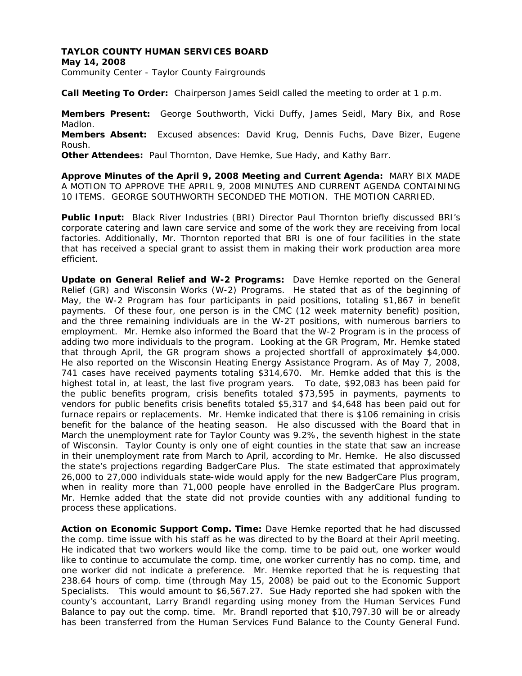## **TAYLOR COUNTY HUMAN SERVICES BOARD**

**May 14, 2008**  Community Center - Taylor County Fairgrounds

**Call Meeting To Order:** Chairperson James Seidl called the meeting to order at 1 p.m.

**Members Present:** George Southworth, Vicki Duffy, James Seidl, Mary Bix, and Rose Madlon. **Members Absent:** Excused absences: David Krug, Dennis Fuchs, Dave Bizer, Eugene Roush. **Other Attendees:** Paul Thornton, Dave Hemke, Sue Hady, and Kathy Barr.

**Approve Minutes of the April 9, 2008 Meeting and Current Agenda:** MARY BIX MADE A MOTION TO APPROVE THE APRIL 9, 2008 MINUTES AND CURRENT AGENDA CONTAINING 10 ITEMS. GEORGE SOUTHWORTH SECONDED THE MOTION. THE MOTION CARRIED.

**Public Input:** Black River Industries (BRI) Director Paul Thornton briefly discussed BRI's corporate catering and lawn care service and some of the work they are receiving from local factories. Additionally, Mr. Thornton reported that BRI is one of four facilities in the state that has received a special grant to assist them in making their work production area more efficient.

**Update on General Relief and W-2 Programs:** Dave Hemke reported on the General Relief (GR) and Wisconsin Works (W-2) Programs. He stated that as of the beginning of May, the W-2 Program has four participants in paid positions, totaling \$1,867 in benefit payments. Of these four, one person is in the CMC (12 week maternity benefit) position, and the three remaining individuals are in the W-2T positions, with numerous barriers to employment. Mr. Hemke also informed the Board that the W-2 Program is in the process of adding two more individuals to the program. Looking at the GR Program, Mr. Hemke stated that through April, the GR program shows a projected shortfall of approximately \$4,000. He also reported on the Wisconsin Heating Energy Assistance Program. As of May 7, 2008, 741 cases have received payments totaling \$314,670. Mr. Hemke added that this is the highest total in, at least, the last five program years. To date, \$92,083 has been paid for the public benefits program, crisis benefits totaled \$73,595 in payments, payments to vendors for public benefits crisis benefits totaled \$5,317 and \$4,648 has been paid out for furnace repairs or replacements. Mr. Hemke indicated that there is \$106 remaining in crisis benefit for the balance of the heating season. He also discussed with the Board that in March the unemployment rate for Taylor County was 9.2%, the seventh highest in the state of Wisconsin. Taylor County is only one of eight counties in the state that saw an increase in their unemployment rate from March to April, according to Mr. Hemke. He also discussed the state's projections regarding BadgerCare Plus. The state estimated that approximately 26,000 to 27,000 individuals state-wide would apply for the new BadgerCare Plus program, when in reality more than 71,000 people have enrolled in the BadgerCare Plus program. Mr. Hemke added that the state did not provide counties with any additional funding to process these applications.

**Action on Economic Support Comp. Time:** Dave Hemke reported that he had discussed the comp. time issue with his staff as he was directed to by the Board at their April meeting. He indicated that two workers would like the comp. time to be paid out, one worker would like to continue to accumulate the comp. time, one worker currently has no comp. time, and one worker did not indicate a preference. Mr. Hemke reported that he is requesting that 238.64 hours of comp. time (through May 15, 2008) be paid out to the Economic Support Specialists. This would amount to \$6,567.27. Sue Hady reported she had spoken with the county's accountant, Larry Brandl regarding using money from the Human Services Fund Balance to pay out the comp. time. Mr. Brandl reported that \$10,797.30 will be or already has been transferred from the Human Services Fund Balance to the County General Fund.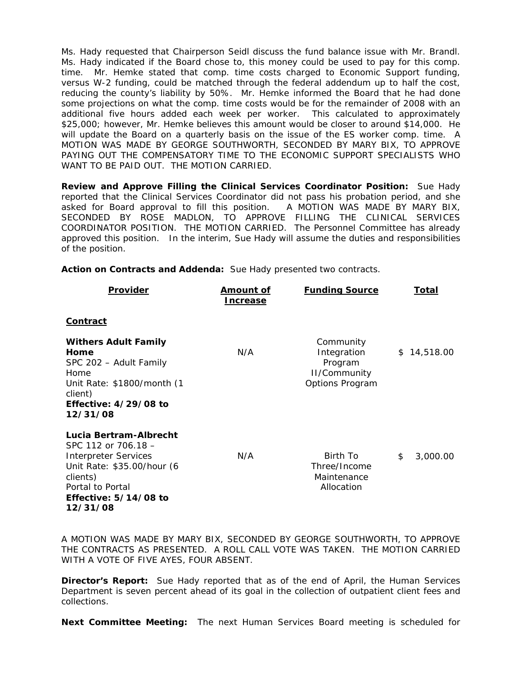Ms. Hady requested that Chairperson Seidl discuss the fund balance issue with Mr. Brandl. Ms. Hady indicated if the Board chose to, this money could be used to pay for this comp. time. Mr. Hemke stated that comp. time costs charged to Economic Support funding, versus W-2 funding, could be matched through the federal addendum up to half the cost, reducing the county's liability by 50%. Mr. Hemke informed the Board that he had done some projections on what the comp. time costs would be for the remainder of 2008 with an additional five hours added each week per worker. This calculated to approximately \$25,000; however, Mr. Hemke believes this amount would be closer to around \$14,000. He will update the Board on a quarterly basis on the issue of the ES worker comp. time. A MOTION WAS MADE BY GEORGE SOUTHWORTH, SECONDED BY MARY BIX, TO APPROVE PAYING OUT THE COMPENSATORY TIME TO THE ECONOMIC SUPPORT SPECIALISTS WHO WANT TO BE PAID OUT. THE MOTION CARRIED.

**Review and Approve Filling the Clinical Services Coordinator Position:** Sue Hady reported that the Clinical Services Coordinator did not pass his probation period, and she asked for Board approval to fill this position. A MOTION WAS MADE BY MARY BIX, SECONDED BY ROSE MADLON, TO APPROVE FILLING THE CLINICAL SERVICES COORDINATOR POSITION. THE MOTION CARRIED. The Personnel Committee has already approved this position. In the interim, Sue Hady will assume the duties and responsibilities of the position.

| <b>Provider</b>                                                                                                                                                                   | <u>Amount of</u><br><b>Increase</b> | <b>Funding Source</b>                                                  | <u>Total</u>   |
|-----------------------------------------------------------------------------------------------------------------------------------------------------------------------------------|-------------------------------------|------------------------------------------------------------------------|----------------|
| <b>Contract</b>                                                                                                                                                                   |                                     |                                                                        |                |
| <b>Withers Adult Family</b><br>Home<br>SPC 202 – Adult Family<br>Home<br>Unit Rate: \$1800/month (1<br>client)<br>Effective: $4/29/08$ to<br>12/31/08                             | N/A                                 | Community<br>Integration<br>Program<br>II/Community<br>Options Program | \$14,518.00    |
| Lucia Bertram-Albrecht<br>SPC 112 or 706.18 -<br><b>Interpreter Services</b><br>Unit Rate: \$35.00/hour (6<br>clients)<br>Portal to Portal<br>Effective: $5/14/08$ to<br>12/31/08 | N/A                                 | Birth To<br>Three/Income<br>Maintenance<br>Allocation                  | \$<br>3,000.00 |

**Action on Contracts and Addenda:** Sue Hady presented two contracts.

A MOTION WAS MADE BY MARY BIX, SECONDED BY GEORGE SOUTHWORTH, TO APPROVE THE CONTRACTS AS PRESENTED. A ROLL CALL VOTE WAS TAKEN. THE MOTION CARRIED WITH A VOTE OF FIVE AYES, FOUR ABSENT.

**Director's Report:** Sue Hady reported that as of the end of April, the Human Services Department is seven percent ahead of its goal in the collection of outpatient client fees and collections.

**Next Committee Meeting:** The next Human Services Board meeting is scheduled for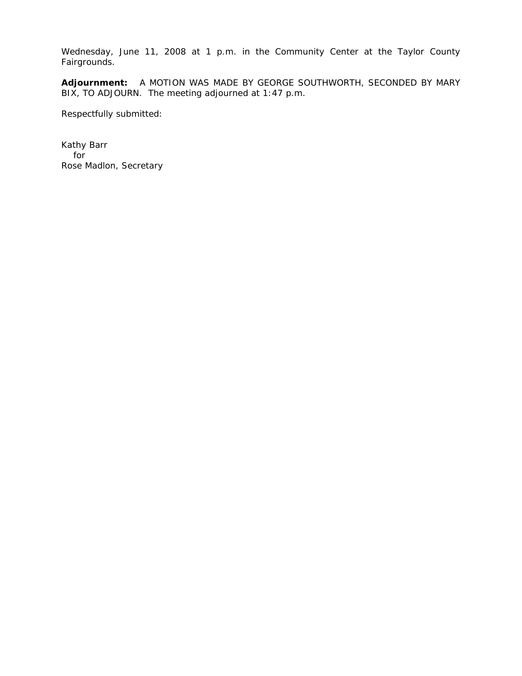Wednesday, June 11, 2008 at 1 p.m. in the Community Center at the Taylor County Fairgrounds.

**Adjournment:** A MOTION WAS MADE BY GEORGE SOUTHWORTH, SECONDED BY MARY BIX, TO ADJOURN. The meeting adjourned at 1:47 p.m.

Respectfully submitted: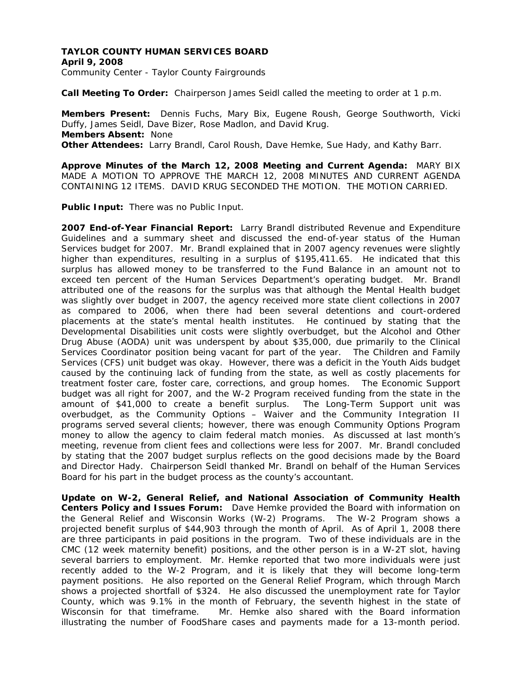## **TAYLOR COUNTY HUMAN SERVICES BOARD April 9, 2008**  Community Center - Taylor County Fairgrounds

**Call Meeting To Order:** Chairperson James Seidl called the meeting to order at 1 p.m.

**Members Present:** Dennis Fuchs, Mary Bix, Eugene Roush, George Southworth, Vicki Duffy, James Seidl, Dave Bizer, Rose Madlon, and David Krug. **Members Absent:** None **Other Attendees:** Larry Brandl, Carol Roush, Dave Hemke, Sue Hady, and Kathy Barr.

**Approve Minutes of the March 12, 2008 Meeting and Current Agenda:** MARY BIX MADE A MOTION TO APPROVE THE MARCH 12, 2008 MINUTES AND CURRENT AGENDA CONTAINING 12 ITEMS. DAVID KRUG SECONDED THE MOTION. THE MOTION CARRIED.

**Public Input:** There was no Public Input.

**2007 End-of-Year Financial Report:** Larry Brandl distributed Revenue and Expenditure Guidelines and a summary sheet and discussed the end-of-year status of the Human Services budget for 2007. Mr. Brandl explained that in 2007 agency revenues were slightly higher than expenditures, resulting in a surplus of \$195,411.65. He indicated that this surplus has allowed money to be transferred to the Fund Balance in an amount not to exceed ten percent of the Human Services Department's operating budget. Mr. Brandl attributed one of the reasons for the surplus was that although the Mental Health budget was slightly over budget in 2007, the agency received more state client collections in 2007 as compared to 2006, when there had been several detentions and court-ordered placements at the state's mental health institutes. He continued by stating that the Developmental Disabilities unit costs were slightly overbudget, but the Alcohol and Other Drug Abuse (AODA) unit was underspent by about \$35,000, due primarily to the Clinical Services Coordinator position being vacant for part of the year. The Children and Family Services (CFS) unit budget was okay. However, there was a deficit in the Youth Aids budget caused by the continuing lack of funding from the state, as well as costly placements for treatment foster care, foster care, corrections, and group homes. The Economic Support budget was all right for 2007, and the W-2 Program received funding from the state in the amount of \$41,000 to create a benefit surplus. The Long-Term Support unit was overbudget, as the Community Options – Waiver and the Community Integration II programs served several clients; however, there was enough Community Options Program money to allow the agency to claim federal match monies. As discussed at last month's meeting, revenue from client fees and collections were less for 2007. Mr. Brandl concluded by stating that the 2007 budget surplus reflects on the good decisions made by the Board and Director Hady. Chairperson Seidl thanked Mr. Brandl on behalf of the Human Services Board for his part in the budget process as the county's accountant.

**Update on W-2, General Relief, and National Association of Community Health Centers Policy and Issues Forum:** Dave Hemke provided the Board with information on the General Relief and Wisconsin Works (W-2) Programs. The W-2 Program shows a projected benefit surplus of \$44,903 through the month of April. As of April 1, 2008 there are three participants in paid positions in the program. Two of these individuals are in the CMC (12 week maternity benefit) positions, and the other person is in a W-2T slot, having several barriers to employment. Mr. Hemke reported that two more individuals were just recently added to the W-2 Program, and it is likely that they will become long-term payment positions. He also reported on the General Relief Program, which through March shows a projected shortfall of \$324. He also discussed the unemployment rate for Taylor County, which was 9.1% in the month of February, the seventh highest in the state of Wisconsin for that timeframe. Mr. Hemke also shared with the Board information illustrating the number of FoodShare cases and payments made for a 13-month period.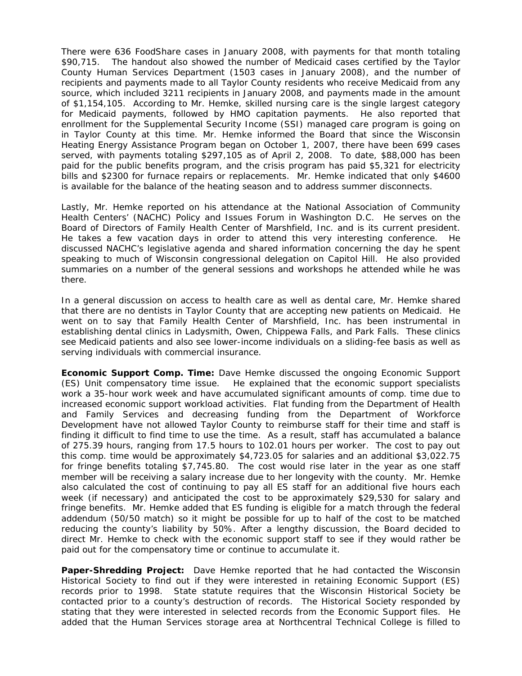There were 636 FoodShare cases in January 2008, with payments for that month totaling \$90,715. The handout also showed the number of Medicaid cases certified by the Taylor County Human Services Department (1503 cases in January 2008), and the number of recipients and payments made to all Taylor County residents who receive Medicaid from any source, which included 3211 recipients in January 2008, and payments made in the amount of \$1,154,105. According to Mr. Hemke, skilled nursing care is the single largest category for Medicaid payments, followed by HMO capitation payments. He also reported that enrollment for the Supplemental Security Income (SSI) managed care program is going on in Taylor County at this time. Mr. Hemke informed the Board that since the Wisconsin Heating Energy Assistance Program began on October 1, 2007, there have been 699 cases served, with payments totaling \$297,105 as of April 2, 2008. To date, \$88,000 has been paid for the public benefits program, and the crisis program has paid \$5,321 for electricity bills and \$2300 for furnace repairs or replacements. Mr. Hemke indicated that only \$4600 is available for the balance of the heating season and to address summer disconnects.

Lastly, Mr. Hemke reported on his attendance at the National Association of Community Health Centers' (NACHC) Policy and Issues Forum in Washington D.C. He serves on the Board of Directors of Family Health Center of Marshfield, Inc. and is its current president. He takes a few vacation days in order to attend this very interesting conference. He discussed NACHC's legislative agenda and shared information concerning the day he spent speaking to much of Wisconsin congressional delegation on Capitol Hill. He also provided summaries on a number of the general sessions and workshops he attended while he was there.

In a general discussion on access to health care as well as dental care, Mr. Hemke shared that there are no dentists in Taylor County that are accepting new patients on Medicaid. He went on to say that Family Health Center of Marshfield, Inc. has been instrumental in establishing dental clinics in Ladysmith, Owen, Chippewa Falls, and Park Falls. These clinics see Medicaid patients and also see lower-income individuals on a sliding-fee basis as well as serving individuals with commercial insurance.

**Economic Support Comp. Time:** Dave Hemke discussed the ongoing Economic Support (ES) Unit compensatory time issue. He explained that the economic support specialists work a 35-hour work week and have accumulated significant amounts of comp. time due to increased economic support workload activities. Flat funding from the Department of Health and Family Services and decreasing funding from the Department of Workforce Development have not allowed Taylor County to reimburse staff for their time and staff is finding it difficult to find time to use the time. As a result, staff has accumulated a balance of 275.39 hours, ranging from 17.5 hours to 102.01 hours per worker. The cost to pay out this comp. time would be approximately \$4,723.05 for salaries and an additional \$3,022.75 for fringe benefits totaling \$7,745.80. The cost would rise later in the year as one staff member will be receiving a salary increase due to her longevity with the county. Mr. Hemke also calculated the cost of continuing to pay all ES staff for an additional five hours each week (if necessary) and anticipated the cost to be approximately \$29,530 for salary and fringe benefits. Mr. Hemke added that ES funding is eligible for a match through the federal addendum (50/50 match) so it might be possible for up to half of the cost to be matched reducing the county's liability by 50%. After a lengthy discussion, the Board decided to direct Mr. Hemke to check with the economic support staff to see if they would rather be paid out for the compensatory time or continue to accumulate it.

**Paper-Shredding Project:** Dave Hemke reported that he had contacted the Wisconsin Historical Society to find out if they were interested in retaining Economic Support (ES) records prior to 1998. State statute requires that the Wisconsin Historical Society be contacted prior to a county's destruction of records. The Historical Society responded by stating that they were interested in selected records from the Economic Support files. He added that the Human Services storage area at Northcentral Technical College is filled to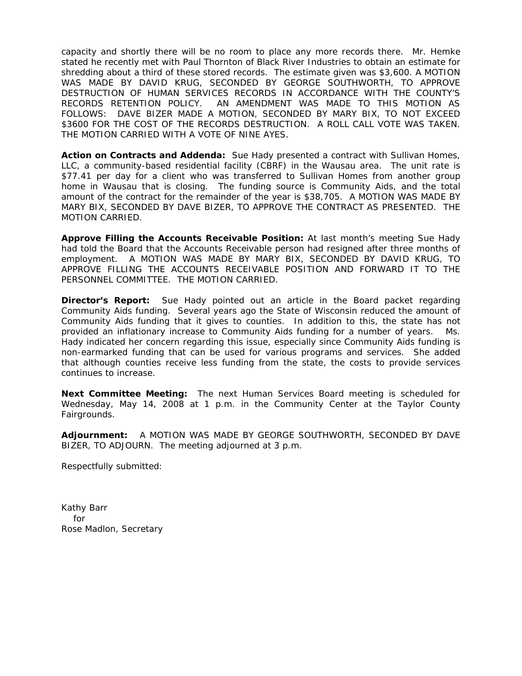capacity and shortly there will be no room to place any more records there. Mr. Hemke stated he recently met with Paul Thornton of Black River Industries to obtain an estimate for shredding about a third of these stored records. The estimate given was \$3,600. A MOTION WAS MADE BY DAVID KRUG, SECONDED BY GEORGE SOUTHWORTH, TO APPROVE DESTRUCTION OF HUMAN SERVICES RECORDS IN ACCORDANCE WITH THE COUNTY'S RECORDS RETENTION POLICY. AN AMENDMENT WAS MADE TO THIS MOTION AS FOLLOWS: DAVE BIZER MADE A MOTION, SECONDED BY MARY BIX, TO NOT EXCEED \$3600 FOR THE COST OF THE RECORDS DESTRUCTION. A ROLL CALL VOTE WAS TAKEN. THE MOTION CARRIED WITH A VOTE OF NINE AYES.

**Action on Contracts and Addenda:** Sue Hady presented a contract with Sullivan Homes, LLC, a community-based residential facility (CBRF) in the Wausau area. The unit rate is \$77.41 per day for a client who was transferred to Sullivan Homes from another group home in Wausau that is closing. The funding source is Community Aids, and the total amount of the contract for the remainder of the year is \$38,705. A MOTION WAS MADE BY MARY BIX, SECONDED BY DAVE BIZER, TO APPROVE THE CONTRACT AS PRESENTED. THE MOTION CARRIED.

**Approve Filling the Accounts Receivable Position:** At last month's meeting Sue Hady had told the Board that the Accounts Receivable person had resigned after three months of employment. A MOTION WAS MADE BY MARY BIX, SECONDED BY DAVID KRUG, TO APPROVE FILLING THE ACCOUNTS RECEIVABLE POSITION AND FORWARD IT TO THE PERSONNEL COMMITTEE. THE MOTION CARRIED.

**Director's Report:** Sue Hady pointed out an article in the Board packet regarding Community Aids funding. Several years ago the State of Wisconsin reduced the amount of Community Aids funding that it gives to counties. In addition to this, the state has not provided an inflationary increase to Community Aids funding for a number of years. Ms. Hady indicated her concern regarding this issue, especially since Community Aids funding is non-earmarked funding that can be used for various programs and services. She added that although counties receive less funding from the state, the costs to provide services continues to increase.

**Next Committee Meeting:** The next Human Services Board meeting is scheduled for Wednesday, May 14, 2008 at 1 p.m. in the Community Center at the Taylor County Fairgrounds.

**Adjournment:** A MOTION WAS MADE BY GEORGE SOUTHWORTH, SECONDED BY DAVE BIZER, TO ADJOURN. The meeting adjourned at 3 p.m.

Respectfully submitted: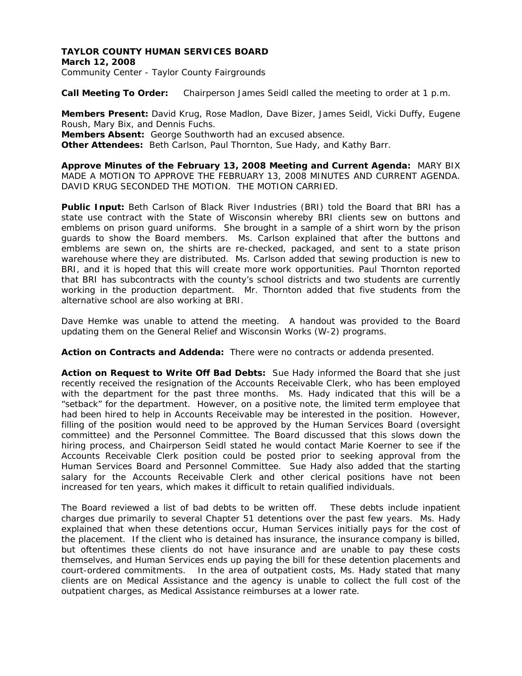## **TAYLOR COUNTY HUMAN SERVICES BOARD March 12, 2008**  Community Center - Taylor County Fairgrounds

**Call Meeting To Order:** Chairperson James Seidl called the meeting to order at 1 p.m.

**Members Present:** David Krug, Rose Madlon, Dave Bizer, James Seidl, Vicki Duffy, Eugene Roush, Mary Bix, and Dennis Fuchs. **Members Absent:** George Southworth had an excused absence.

**Other Attendees:** Beth Carlson, Paul Thornton, Sue Hady, and Kathy Barr.

**Approve Minutes of the February 13, 2008 Meeting and Current Agenda:** MARY BIX MADE A MOTION TO APPROVE THE FEBRUARY 13, 2008 MINUTES AND CURRENT AGENDA. DAVID KRUG SECONDED THE MOTION. THE MOTION CARRIED.

**Public Input:** Beth Carlson of Black River Industries (BRI) told the Board that BRI has a state use contract with the State of Wisconsin whereby BRI clients sew on buttons and emblems on prison guard uniforms. She brought in a sample of a shirt worn by the prison guards to show the Board members. Ms. Carlson explained that after the buttons and emblems are sewn on, the shirts are re-checked, packaged, and sent to a state prison warehouse where they are distributed. Ms. Carlson added that sewing production is new to BRI, and it is hoped that this will create more work opportunities. Paul Thornton reported that BRI has subcontracts with the county's school districts and two students are currently working in the production department. Mr. Thornton added that five students from the alternative school are also working at BRI.

Dave Hemke was unable to attend the meeting. A handout was provided to the Board updating them on the General Relief and Wisconsin Works (W-2) programs.

**Action on Contracts and Addenda:** There were no contracts or addenda presented.

**Action on Request to Write Off Bad Debts:** Sue Hady informed the Board that she just recently received the resignation of the Accounts Receivable Clerk, who has been employed with the department for the past three months. Ms. Hady indicated that this will be a "setback" for the department. However, on a positive note, the limited term employee that had been hired to help in Accounts Receivable may be interested in the position. However, filling of the position would need to be approved by the Human Services Board (oversight committee) and the Personnel Committee. The Board discussed that this slows down the hiring process, and Chairperson Seidl stated he would contact Marie Koerner to see if the Accounts Receivable Clerk position could be posted prior to seeking approval from the Human Services Board and Personnel Committee. Sue Hady also added that the starting salary for the Accounts Receivable Clerk and other clerical positions have not been increased for ten years, which makes it difficult to retain qualified individuals.

The Board reviewed a list of bad debts to be written off. These debts include inpatient charges due primarily to several Chapter 51 detentions over the past few years. Ms. Hady explained that when these detentions occur, Human Services initially pays for the cost of the placement. If the client who is detained has insurance, the insurance company is billed, but oftentimes these clients do not have insurance and are unable to pay these costs themselves, and Human Services ends up paying the bill for these detention placements and court-ordered commitments. In the area of outpatient costs, Ms. Hady stated that many clients are on Medical Assistance and the agency is unable to collect the full cost of the outpatient charges, as Medical Assistance reimburses at a lower rate.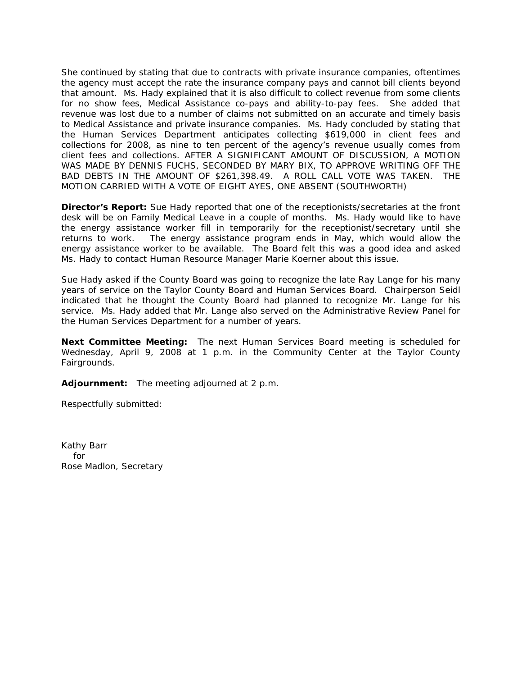She continued by stating that due to contracts with private insurance companies, oftentimes the agency must accept the rate the insurance company pays and cannot bill clients beyond that amount. Ms. Hady explained that it is also difficult to collect revenue from some clients for no show fees, Medical Assistance co-pays and ability-to-pay fees. She added that revenue was lost due to a number of claims not submitted on an accurate and timely basis to Medical Assistance and private insurance companies. Ms. Hady concluded by stating that the Human Services Department anticipates collecting \$619,000 in client fees and collections for 2008, as nine to ten percent of the agency's revenue usually comes from client fees and collections. AFTER A SIGNIFICANT AMOUNT OF DISCUSSION, A MOTION WAS MADE BY DENNIS FUCHS, SECONDED BY MARY BIX, TO APPROVE WRITING OFF THE BAD DEBTS IN THE AMOUNT OF \$261,398.49. A ROLL CALL VOTE WAS TAKEN. THE MOTION CARRIED WITH A VOTE OF EIGHT AYES, ONE ABSENT (SOUTHWORTH)

**Director's Report:** Sue Hady reported that one of the receptionists/secretaries at the front desk will be on Family Medical Leave in a couple of months. Ms. Hady would like to have the energy assistance worker fill in temporarily for the receptionist/secretary until she returns to work. The energy assistance program ends in May, which would allow the energy assistance worker to be available. The Board felt this was a good idea and asked Ms. Hady to contact Human Resource Manager Marie Koerner about this issue.

Sue Hady asked if the County Board was going to recognize the late Ray Lange for his many years of service on the Taylor County Board and Human Services Board. Chairperson Seidl indicated that he thought the County Board had planned to recognize Mr. Lange for his service. Ms. Hady added that Mr. Lange also served on the Administrative Review Panel for the Human Services Department for a number of years.

**Next Committee Meeting:** The next Human Services Board meeting is scheduled for Wednesday, April 9, 2008 at 1 p.m. in the Community Center at the Taylor County Fairgrounds.

**Adjournment:** The meeting adjourned at 2 p.m.

Respectfully submitted: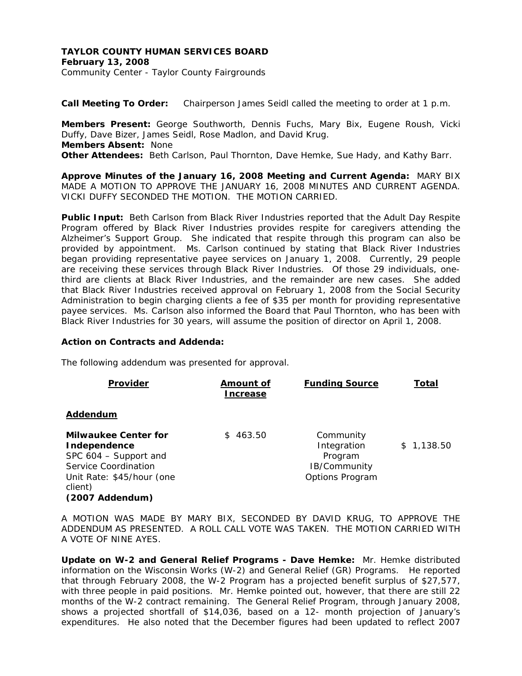## **TAYLOR COUNTY HUMAN SERVICES BOARD February 13, 2008**  Community Center - Taylor County Fairgrounds

**Call Meeting To Order:** Chairperson James Seidl called the meeting to order at 1 p.m.

**Members Present:** George Southworth, Dennis Fuchs, Mary Bix, Eugene Roush, Vicki Duffy, Dave Bizer, James Seidl, Rose Madlon, and David Krug. **Members Absent:** None **Other Attendees:** Beth Carlson, Paul Thornton, Dave Hemke, Sue Hady, and Kathy Barr.

**Approve Minutes of the January 16, 2008 Meeting and Current Agenda:** MARY BIX MADE A MOTION TO APPROVE THE JANUARY 16, 2008 MINUTES AND CURRENT AGENDA. VICKI DUFFY SECONDED THE MOTION. THE MOTION CARRIED.

**Public Input:** Beth Carlson from Black River Industries reported that the Adult Day Respite Program offered by Black River Industries provides respite for caregivers attending the Alzheimer's Support Group. She indicated that respite through this program can also be provided by appointment. Ms. Carlson continued by stating that Black River Industries began providing representative payee services on January 1, 2008. Currently, 29 people are receiving these services through Black River Industries. Of those 29 individuals, onethird are clients at Black River Industries, and the remainder are new cases. She added that Black River Industries received approval on February 1, 2008 from the Social Security Administration to begin charging clients a fee of \$35 per month for providing representative payee services. Ms. Carlson also informed the Board that Paul Thornton, who has been with Black River Industries for 30 years, will assume the position of director on April 1, 2008.

## **Action on Contracts and Addenda:**

The following addendum was presented for approval.

| <b>Provider</b>                                                                                                                                         | <u>Amount of</u><br>Increase | <b>Funding Source</b>                                                         | <u>Total</u> |
|---------------------------------------------------------------------------------------------------------------------------------------------------------|------------------------------|-------------------------------------------------------------------------------|--------------|
| Addendum                                                                                                                                                |                              |                                                                               |              |
| <b>Milwaukee Center for</b><br>Independence<br>SPC 604 - Support and<br>Service Coordination<br>Unit Rate: \$45/hour (one<br>client)<br>(2007 Addendum) | 463.50<br>$\mathcal{S}$      | Community<br>Integration<br>Program<br>IB/Community<br><b>Options Program</b> | \$1,138.50   |

A MOTION WAS MADE BY MARY BIX, SECONDED BY DAVID KRUG, TO APPROVE THE ADDENDUM AS PRESENTED. A ROLL CALL VOTE WAS TAKEN. THE MOTION CARRIED WITH A VOTE OF NINE AYES.

**Update on W-2 and General Relief Programs - Dave Hemke:** Mr. Hemke distributed information on the Wisconsin Works (W-2) and General Relief (GR) Programs. He reported that through February 2008, the W-2 Program has a projected benefit surplus of \$27,577, with three people in paid positions. Mr. Hemke pointed out, however, that there are still 22 months of the W-2 contract remaining. The General Relief Program, through January 2008, shows a projected shortfall of \$14,036, based on a 12- month projection of January's expenditures. He also noted that the December figures had been updated to reflect 2007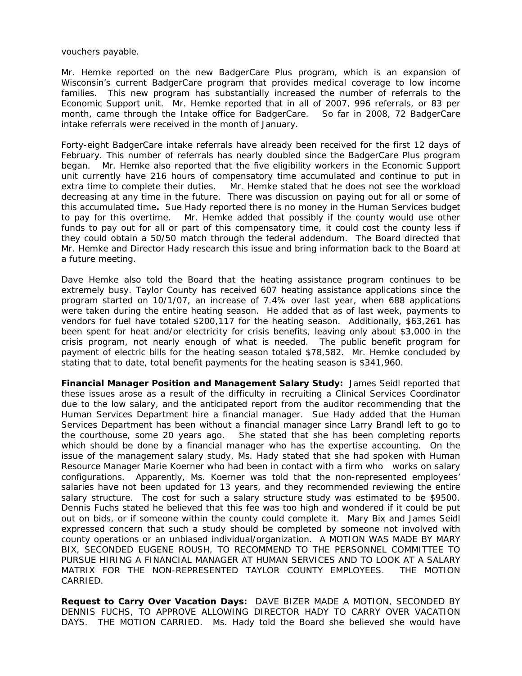vouchers payable.

Mr. Hemke reported on the new BadgerCare Plus program, which is an expansion of Wisconsin's current BadgerCare program that provides medical coverage to low income families. This new program has substantially increased the number of referrals to the Economic Support unit. Mr. Hemke reported that in all of 2007, 996 referrals, or 83 per month, came through the Intake office for BadgerCare. So far in 2008, 72 BadgerCare intake referrals were received in the month of January.

Forty-eight BadgerCare intake referrals have already been received for the first 12 days of February. This number of referrals has nearly doubled since the BadgerCare Plus program began. Mr. Hemke also reported that the five eligibility workers in the Economic Support unit currently have 216 hours of compensatory time accumulated and continue to put in extra time to complete their duties. Mr. Hemke stated that he does not see the workload decreasing at any time in the future. There was discussion on paying out for all or some of this accumulated time**.** Sue Hady reported there is no money in the Human Services budget to pay for this overtime. Mr. Hemke added that possibly if the county would use other funds to pay out for all or part of this compensatory time, it could cost the county less if they could obtain a 50/50 match through the federal addendum. The Board directed that Mr. Hemke and Director Hady research this issue and bring information back to the Board at a future meeting.

Dave Hemke also told the Board that the heating assistance program continues to be extremely busy. Taylor County has received 607 heating assistance applications since the program started on 10/1/07, an increase of 7.4% over last year, when 688 applications were taken during the entire heating season. He added that as of last week, payments to vendors for fuel have totaled \$200,117 for the heating season. Additionally, \$63,261 has been spent for heat and/or electricity for crisis benefits, leaving only about \$3,000 in the crisis program, not nearly enough of what is needed. The public benefit program for payment of electric bills for the heating season totaled \$78,582. Mr. Hemke concluded by stating that to date, total benefit payments for the heating season is \$341,960.

**Financial Manager Position and Management Salary Study:** James Seidl reported that these issues arose as a result of the difficulty in recruiting a Clinical Services Coordinator due to the low salary, and the anticipated report from the auditor recommending that the Human Services Department hire a financial manager. Sue Hady added that the Human Services Department has been without a financial manager since Larry Brandl left to go to the courthouse, some 20 years ago. She stated that she has been completing reports which should be done by a financial manager who has the expertise accounting. On the issue of the management salary study, Ms. Hady stated that she had spoken with Human Resource Manager Marie Koerner who had been in contact with a firm who works on salary configurations. Apparently, Ms. Koerner was told that the non-represented employees' salaries have not been updated for 13 years, and they recommended reviewing the entire salary structure. The cost for such a salary structure study was estimated to be \$9500. Dennis Fuchs stated he believed that this fee was too high and wondered if it could be put out on bids, or if someone within the county could complete it. Mary Bix and James Seidl expressed concern that such a study should be completed by someone not involved with county operations or an unbiased individual/organization. A MOTION WAS MADE BY MARY BIX, SECONDED EUGENE ROUSH, TO RECOMMEND TO THE PERSONNEL COMMITTEE TO PURSUE HIRING A FINANCIAL MANAGER AT HUMAN SERVICES AND TO LOOK AT A SALARY MATRIX FOR THE NON-REPRESENTED TAYLOR COUNTY EMPLOYEES. THE MOTION CARRIED.

**Request to Carry Over Vacation Days:** DAVE BIZER MADE A MOTION, SECONDED BY DENNIS FUCHS, TO APPROVE ALLOWING DIRECTOR HADY TO CARRY OVER VACATION DAYS. THE MOTION CARRIED. Ms. Hady told the Board she believed she would have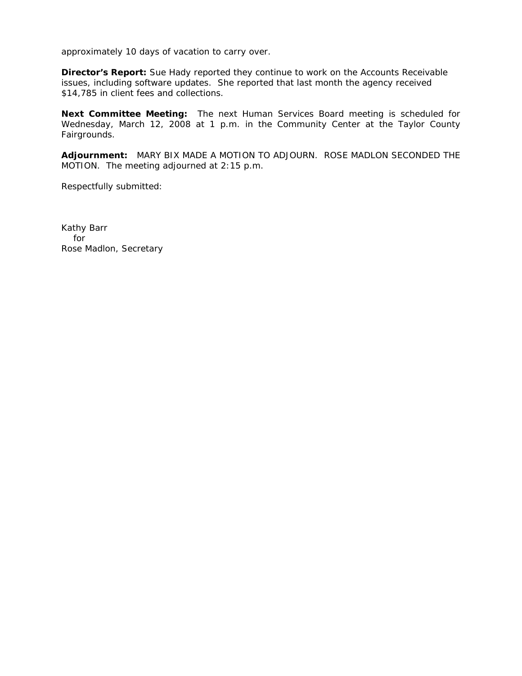approximately 10 days of vacation to carry over.

**Director's Report:** Sue Hady reported they continue to work on the Accounts Receivable issues, including software updates. She reported that last month the agency received \$14,785 in client fees and collections.

**Next Committee Meeting:** The next Human Services Board meeting is scheduled for Wednesday, March 12, 2008 at 1 p.m. in the Community Center at the Taylor County Fairgrounds.

**Adjournment:** MARY BIX MADE A MOTION TO ADJOURN. ROSE MADLON SECONDED THE MOTION. The meeting adjourned at 2:15 p.m.

Respectfully submitted: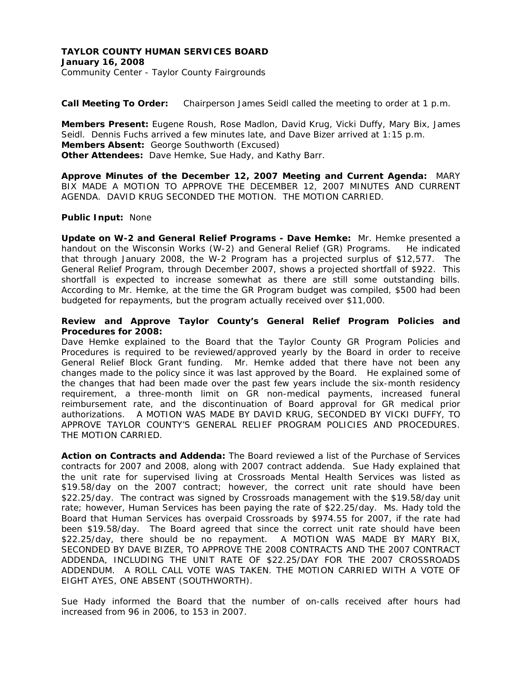## **TAYLOR COUNTY HUMAN SERVICES BOARD January 16, 2008**  Community Center - Taylor County Fairgrounds

**Call Meeting To Order:** Chairperson James Seidl called the meeting to order at 1 p.m.

**Members Present:** Eugene Roush, Rose Madlon, David Krug, Vicki Duffy, Mary Bix, James Seidl. Dennis Fuchs arrived a few minutes late, and Dave Bizer arrived at 1:15 p.m. **Members Absent:** George Southworth (Excused) **Other Attendees:** Dave Hemke, Sue Hady, and Kathy Barr.

**Approve Minutes of the December 12, 2007 Meeting and Current Agenda:** MARY BIX MADE A MOTION TO APPROVE THE DECEMBER 12, 2007 MINUTES AND CURRENT AGENDA. DAVID KRUG SECONDED THE MOTION. THE MOTION CARRIED.

## **Public Input:** None

**Update on W-2 and General Relief Programs - Dave Hemke:** Mr. Hemke presented a handout on the Wisconsin Works (W-2) and General Relief (GR) Programs. He indicated that through January 2008, the W-2 Program has a projected surplus of \$12,577. The General Relief Program, through December 2007, shows a projected shortfall of \$922. This shortfall is expected to increase somewhat as there are still some outstanding bills. According to Mr. Hemke, at the time the GR Program budget was compiled, \$500 had been budgeted for repayments, but the program actually received over \$11,000.

## **Review and Approve Taylor County's General Relief Program Policies and Procedures for 2008:**

Dave Hemke explained to the Board that the Taylor County GR Program Policies and Procedures is required to be reviewed/approved yearly by the Board in order to receive General Relief Block Grant funding. Mr. Hemke added that there have not been any changes made to the policy since it was last approved by the Board. He explained some of the changes that had been made over the past few years include the six-month residency requirement, a three-month limit on GR non-medical payments, increased funeral reimbursement rate, and the discontinuation of Board approval for GR medical prior authorizations. A MOTION WAS MADE BY DAVID KRUG, SECONDED BY VICKI DUFFY, TO APPROVE TAYLOR COUNTY'S GENERAL RELIEF PROGRAM POLICIES AND PROCEDURES. THE MOTION CARRIED.

**Action on Contracts and Addenda:** The Board reviewed a list of the Purchase of Services contracts for 2007 and 2008, along with 2007 contract addenda. Sue Hady explained that the unit rate for supervised living at Crossroads Mental Health Services was listed as \$19.58/day on the 2007 contract; however, the correct unit rate should have been \$22.25/day. The contract was signed by Crossroads management with the \$19.58/day unit rate; however, Human Services has been paying the rate of \$22.25/day. Ms. Hady told the Board that Human Services has overpaid Crossroads by \$974.55 for 2007, if the rate had been \$19.58/day. The Board agreed that since the correct unit rate should have been \$22.25/day, there should be no repayment. A MOTION WAS MADE BY MARY BIX, SECONDED BY DAVE BIZER, TO APPROVE THE 2008 CONTRACTS AND THE 2007 CONTRACT ADDENDA, INCLUDING THE UNIT RATE OF \$22.25/DAY FOR THE 2007 CROSSROADS ADDENDUM. A ROLL CALL VOTE WAS TAKEN. THE MOTION CARRIED WITH A VOTE OF EIGHT AYES, ONE ABSENT (SOUTHWORTH).

Sue Hady informed the Board that the number of on-calls received after hours had increased from 96 in 2006, to 153 in 2007.